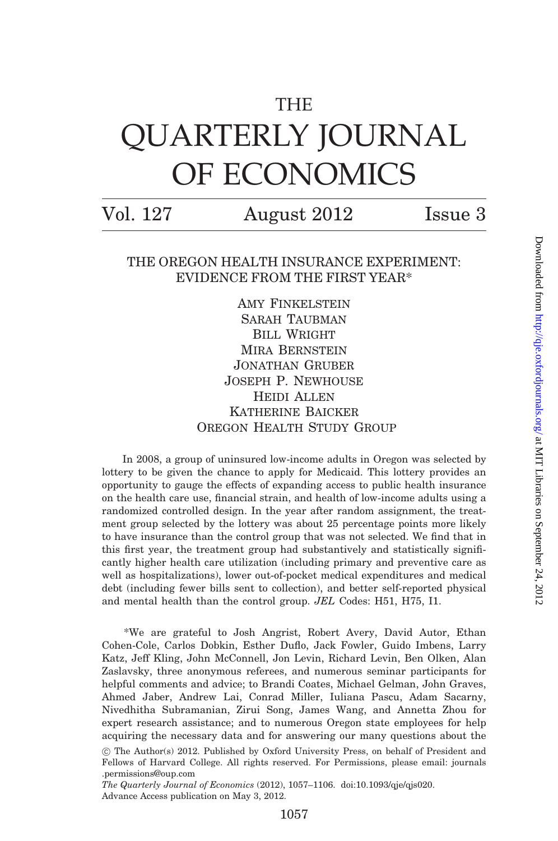# THE QUARTERLY JOURNAL OF ECONOMICS

Vol. 127 August 2012 Issue 3

## THE OREGON HEALTH INSURANCE EXPERIMENT: EVIDENCE FROM THE FIRST YEAR\*

AMY FINKELSTEIN Sarah Taubman BILL WRIGHT Mira Bernstein Jonathan Gruber Joseph P. Newhouse Heidi Allen Katherine Baicker OREGON HEALTH STUDY GROUP

In 2008, a group of uninsured low-income adults in Oregon was selected by lottery to be given the chance to apply for Medicaid. This lottery provides an opportunity to gauge the effects of expanding access to public health insurance on the health care use, financial strain, and health of low-income adults using a randomized controlled design. In the year after random assignment, the treatment group selected by the lottery was about 25 percentage points more likely to have insurance than the control group that was not selected. We find that in this first year, the treatment group had substantively and statistically significantly higher health care utilization (including primary and preventive care as well as hospitalizations), lower out-of-pocket medical expenditures and medical debt (including fewer bills sent to collection), and better self-reported physical and mental health than the control group. JEL Codes: H51, H75, I1.

\*We are grateful to Josh Angrist, Robert Avery, David Autor, Ethan Cohen-Cole, Carlos Dobkin, Esther Duflo, Jack Fowler, Guido Imbens, Larry Katz, Jeff Kling, John McConnell, Jon Levin, Richard Levin, Ben Olken, Alan Zaslavsky, three anonymous referees, and numerous seminar participants for helpful comments and advice; to Brandi Coates, Michael Gelman, John Graves, Ahmed Jaber, Andrew Lai, Conrad Miller, Iuliana Pascu, Adam Sacarny, Nivedhitha Subramanian, Zirui Song, James Wang, and Annetta Zhou for expert research assistance; and to numerous Oregon state employees for help acquiring the necessary data and for answering our many questions about the

<sup>!</sup> The Author(s) 2012. Published by Oxford University Press, on behalf of President and Fellows of Harvard College. All rights reserved. For Permissions, please email: journals .permissions@oup.com

The Quarterly Journal of Economics (2012), 1057–1106. doi:10.1093/qje/qjs020. Advance Access publication on May 3, 2012.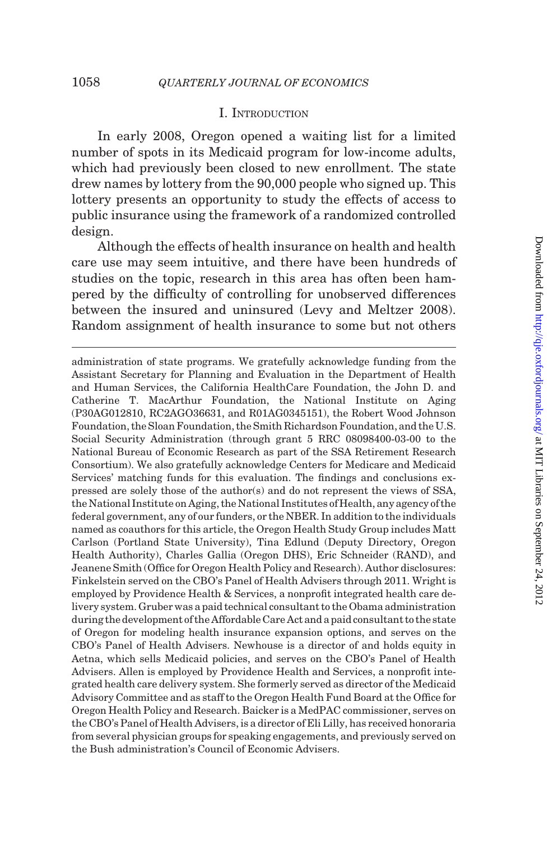## I. INTRODUCTION

In early 2008, Oregon opened a waiting list for a limited number of spots in its Medicaid program for low-income adults, which had previously been closed to new enrollment. The state drew names by lottery from the 90,000 people who signed up. This lottery presents an opportunity to study the effects of access to public insurance using the framework of a randomized controlled design.

Although the effects of health insurance on health and health care use may seem intuitive, and there have been hundreds of studies on the topic, research in this area has often been hampered by the difficulty of controlling for unobserved differences between the insured and uninsured ([Levy and Meltzer 2008](#page-48-0)). Random assignment of health insurance to some but not others

administration of state programs. We gratefully acknowledge funding from the Assistant Secretary for Planning and Evaluation in the Department of Health and Human Services, the California HealthCare Foundation, the John D. and Catherine T. MacArthur Foundation, the National Institute on Aging (P30AG012810, RC2AGO36631, and R01AG0345151), the Robert Wood Johnson Foundation, the Sloan Foundation, the Smith Richardson Foundation, and the U.S. Social Security Administration (through grant 5 RRC 08098400-03-00 to the National Bureau of Economic Research as part of the SSA Retirement Research Consortium). We also gratefully acknowledge Centers for Medicare and Medicaid Services' matching funds for this evaluation. The findings and conclusions expressed are solely those of the author(s) and do not represent the views of SSA, the National Institute on Aging, the National Institutes of Health, any agency of the federal government, any of our funders, or the NBER. In addition to the individuals named as coauthors for this article, the Oregon Health Study Group includes Matt Carlson (Portland State University), Tina Edlund (Deputy Directory, Oregon Health Authority), Charles Gallia (Oregon DHS), Eric Schneider (RAND), and Jeanene Smith (Office for Oregon Health Policy and Research). Author disclosures: Finkelstein served on the CBO's Panel of Health Advisers through 2011. Wright is employed by Providence Health & Services, a nonprofit integrated health care delivery system. Gruber was a paid technical consultant to the Obama administration during the development of the Affordable Care Act anda paidconsultant tothe state of Oregon for modeling health insurance expansion options, and serves on the CBO's Panel of Health Advisers. Newhouse is a director of and holds equity in Aetna, which sells Medicaid policies, and serves on the CBO's Panel of Health Advisers. Allen is employed by Providence Health and Services, a nonprofit integrated health care delivery system. She formerly served as director of the Medicaid Advisory Committee and as staff to the Oregon Health Fund Board at the Office for Oregon Health Policy and Research. Baicker is a MedPAC commissioner, serves on the CBO's Panel of Health Advisers, is a director of Eli Lilly, has received honoraria from several physician groups for speaking engagements, and previously served on the Bush administration's Council of Economic Advisers.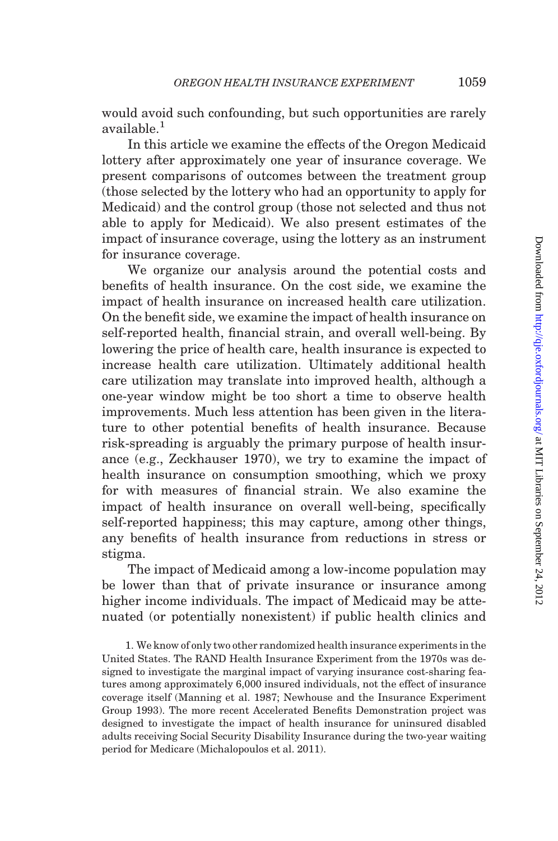would avoid such confounding, but such opportunities are rarely available.<sup>1</sup>

In this article we examine the effects of the Oregon Medicaid lottery after approximately one year of insurance coverage. We present comparisons of outcomes between the treatment group (those selected by the lottery who had an opportunity to apply for Medicaid) and the control group (those not selected and thus not able to apply for Medicaid). We also present estimates of the impact of insurance coverage, using the lottery as an instrument for insurance coverage.

We organize our analysis around the potential costs and benefits of health insurance. On the cost side, we examine the impact of health insurance on increased health care utilization. On the benefit side, we examine the impact of health insurance on self-reported health, financial strain, and overall well-being. By lowering the price of health care, health insurance is expected to increase health care utilization. Ultimately additional health care utilization may translate into improved health, although a one-year window might be too short a time to observe health improvements. Much less attention has been given in the literature to other potential benefits of health insurance. Because risk-spreading is arguably the primary purpose of health insurance (e.g., [Zeckhauser 1970](#page-49-0)), we try to examine the impact of health insurance on consumption smoothing, which we proxy for with measures of financial strain. We also examine the impact of health insurance on overall well-being, specifically self-reported happiness; this may capture, among other things, any benefits of health insurance from reductions in stress or stigma.

The impact of Medicaid among a low-income population may be lower than that of private insurance or insurance among higher income individuals. The impact of Medicaid may be attenuated (or potentially nonexistent) if public health clinics and

1. We know of only two other randomized health insurance experiments in the United States. The RAND Health Insurance Experiment from the 1970s was designed to investigate the marginal impact of varying insurance cost-sharing features among approximately 6,000 insured individuals, not the effect of insurance coverage itself ([Manning et al. 1987;](#page-48-0) [Newhouse and the Insurance Experiment](#page-49-0) [Group 1993\)](#page-49-0). The more recent Accelerated Benefits Demonstration project was designed to investigate the impact of health insurance for uninsured disabled adults receiving Social Security Disability Insurance during the two-year waiting period for Medicare ([Michalopoulos et al. 2011](#page-49-0)).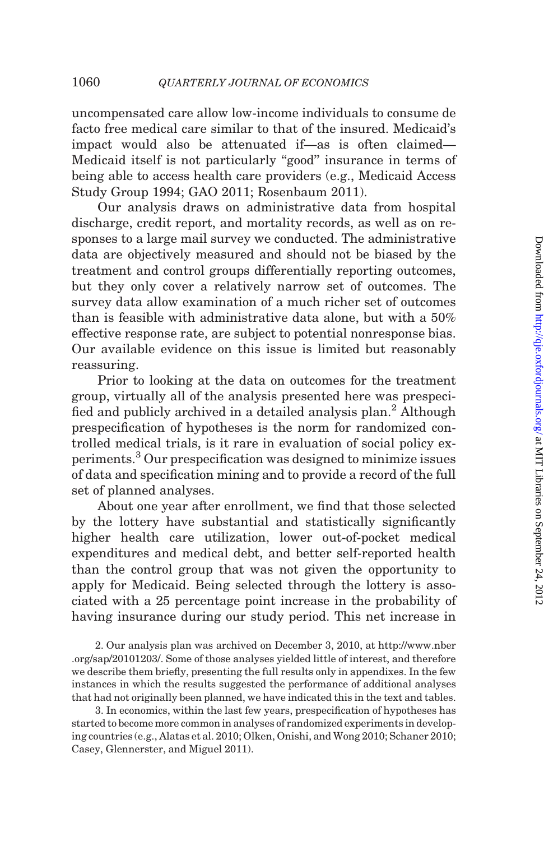uncompensated care allow low-income individuals to consume de facto free medical care similar to that of the insured. Medicaid's impact would also be attenuated if—as is often claimed— Medicaid itself is not particularly ''good'' insurance in terms of being able to access health care providers (e.g., [Medicaid Access](#page-48-0) [Study Group 1994; GAO 2011](#page-48-0); [Rosenbaum 2011\)](#page-49-0).

Our analysis draws on administrative data from hospital discharge, credit report, and mortality records, as well as on responses to a large mail survey we conducted. The administrative data are objectively measured and should not be biased by the treatment and control groups differentially reporting outcomes, but they only cover a relatively narrow set of outcomes. The survey data allow examination of a much richer set of outcomes than is feasible with administrative data alone, but with a 50% effective response rate, are subject to potential nonresponse bias. Our available evidence on this issue is limited but reasonably reassuring.

Prior to looking at the data on outcomes for the treatment group, virtually all of the analysis presented here was prespecified and publicly archived in a detailed analysis plan.<sup>2</sup> Although prespecification of hypotheses is the norm for randomized controlled medical trials, is it rare in evaluation of social policy experiments.<sup>3</sup> Our prespecification was designed to minimize issues of data and specification mining and to provide a record of the full set of planned analyses.

About one year after enrollment, we find that those selected by the lottery have substantial and statistically significantly higher health care utilization, lower out-of-pocket medical expenditures and medical debt, and better self-reported health than the control group that was not given the opportunity to apply for Medicaid. Being selected through the lottery is associated with a 25 percentage point increase in the probability of having insurance during our study period. This net increase in

2. Our analysis plan was archived on December 3, 2010, at http://www.nber .org/sap/20101203/. Some of those analyses yielded little of interest, and therefore we describe them briefly, presenting the full results only in appendixes. In the few instances in which the results suggested the performance of additional analyses that had not originally been planned, we have indicated this in the text and tables.

3. In economics, within the last few years, prespecification of hypotheses has started to become more common in analyses of randomized experiments in developing countries (e.g., [Alatas et al. 2010](#page-47-0); [Olken, Onishi, and Wong 2010](#page-49-0); [Schaner 2010](#page-49-0); [Casey, Glennerster, and Miguel 2011](#page-48-0)).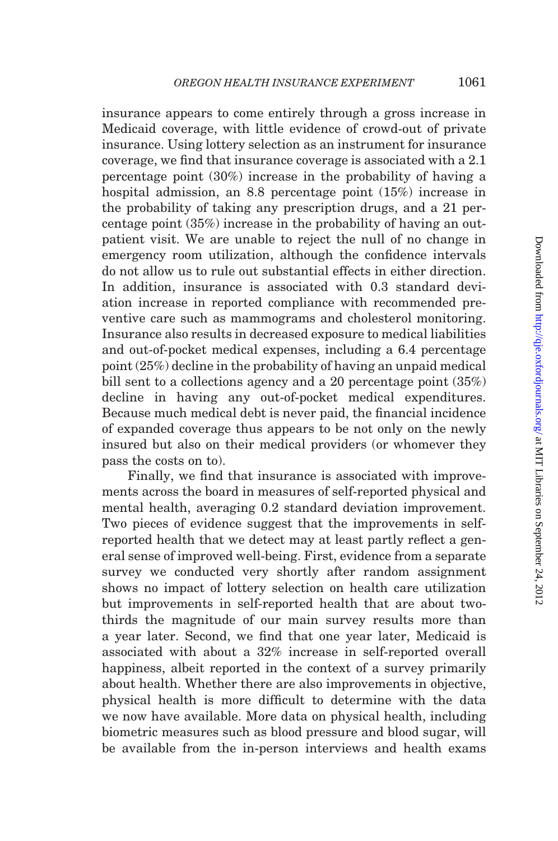insurance appears to come entirely through a gross increase in Medicaid coverage, with little evidence of crowd-out of private insurance. Using lottery selection as an instrument for insurance coverage, we find that insurance coverage is associated with a 2.1 percentage point (30%) increase in the probability of having a hospital admission, an 8.8 percentage point (15%) increase in the probability of taking any prescription drugs, and a 21 percentage point (35%) increase in the probability of having an outpatient visit. We are unable to reject the null of no change in emergency room utilization, although the confidence intervals do not allow us to rule out substantial effects in either direction. In addition, insurance is associated with 0.3 standard deviation increase in reported compliance with recommended preventive care such as mammograms and cholesterol monitoring. Insurance also results in decreased exposure to medical liabilities and out-of-pocket medical expenses, including a 6.4 percentage point (25%) decline in the probability of having an unpaid medical bill sent to a collections agency and a 20 percentage point (35%) decline in having any out-of-pocket medical expenditures. Because much medical debt is never paid, the financial incidence of expanded coverage thus appears to be not only on the newly insured but also on their medical providers (or whomever they pass the costs on to).

Finally, we find that insurance is associated with improvements across the board in measures of self-reported physical and mental health, averaging 0.2 standard deviation improvement. Two pieces of evidence suggest that the improvements in selfreported health that we detect may at least partly reflect a general sense of improved well-being. First, evidence from a separate survey we conducted very shortly after random assignment shows no impact of lottery selection on health care utilization but improvements in self-reported health that are about twothirds the magnitude of our main survey results more than a year later. Second, we find that one year later, Medicaid is associated with about a 32% increase in self-reported overall happiness, albeit reported in the context of a survey primarily about health. Whether there are also improvements in objective, physical health is more difficult to determine with the data we now have available. More data on physical health, including biometric measures such as blood pressure and blood sugar, will be available from the in-person interviews and health exams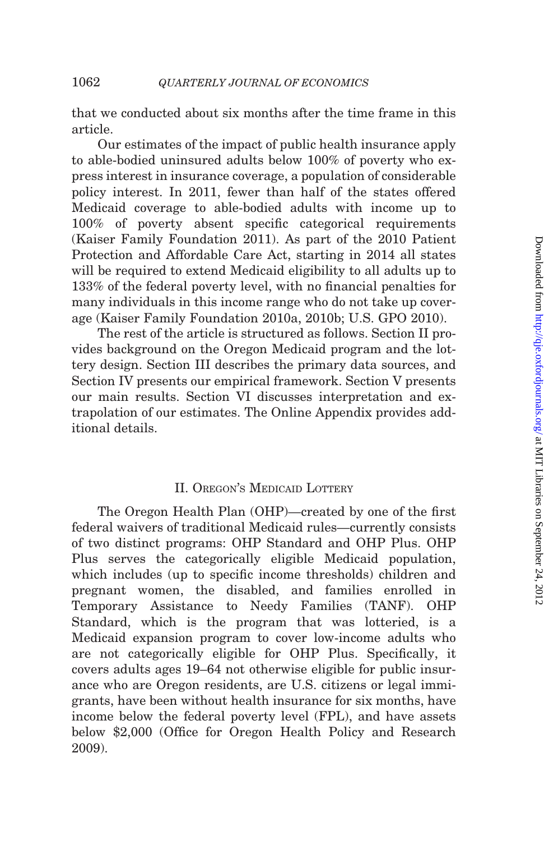that we conducted about six months after the time frame in this article.

Our estimates of the impact of public health insurance apply to able-bodied uninsured adults below 100% of poverty who express interest in insurance coverage, a population of considerable policy interest. In 2011, fewer than half of the states offered Medicaid coverage to able-bodied adults with income up to 100% of poverty absent specific categorical requirements ([Kaiser Family Foundation 2011\)](#page-48-0). As part of the 2010 Patient Protection and Affordable Care Act, starting in 2014 all states will be required to extend Medicaid eligibility to all adults up to 133% of the federal poverty level, with no financial penalties for many individuals in this income range who do not take up coverage ([Kaiser Family Foundation 2010a](#page-48-0), [2010b](#page-48-0); [U.S. GPO 2010](#page-49-0)).

The rest of the article is structured as follows. Section II provides background on the Oregon Medicaid program and the lottery design. [Section III](#page-7-0) describes the primary data sources, and [Section IV](#page-14-0) presents our empirical framework. [Section V](#page-25-0) presents our main results. [Section VI](#page-43-0) discusses interpretation and extrapolation of our estimates. The Online Appendix provides additional details.

## II. OREGON'S MEDICAID LOTTERY

The Oregon Health Plan (OHP)—created by one of the first federal waivers of traditional Medicaid rules—currently consists of two distinct programs: OHP Standard and OHP Plus. OHP Plus serves the categorically eligible Medicaid population, which includes (up to specific income thresholds) children and pregnant women, the disabled, and families enrolled in Temporary Assistance to Needy Families (TANF). OHP Standard, which is the program that was lotteried, is a Medicaid expansion program to cover low-income adults who are not categorically eligible for OHP Plus. Specifically, it covers adults ages 19–64 not otherwise eligible for public insurance who are Oregon residents, are U.S. citizens or legal immigrants, have been without health insurance for six months, have income below the federal poverty level (FPL), and have assets below \$2,000 ([Office for Oregon Health Policy and Research](#page-49-0) [2009](#page-49-0)).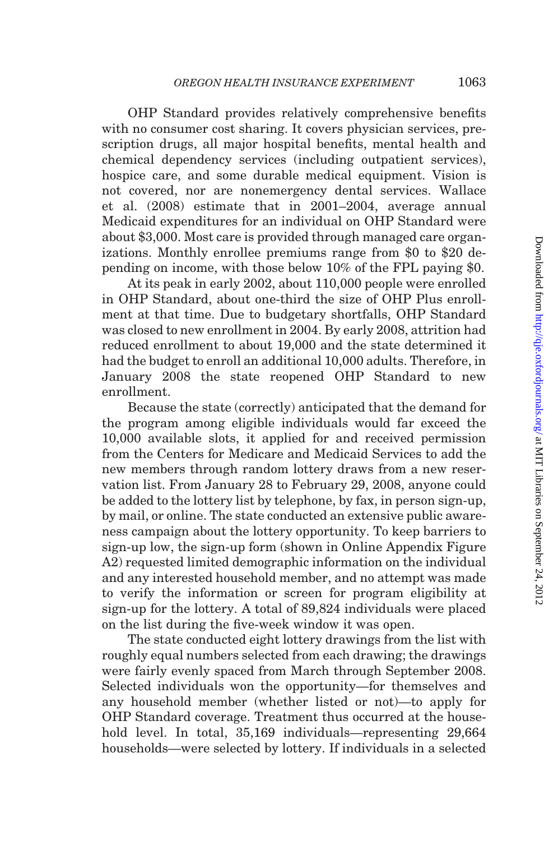OHP Standard provides relatively comprehensive benefits with no consumer cost sharing. It covers physician services, prescription drugs, all major hospital benefits, mental health and chemical dependency services (including outpatient services), hospice care, and some durable medical equipment. Vision is not covered, nor are nonemergency dental services. [Wallace](#page-49-0) [et al. \(2008\)](#page-49-0) estimate that in 2001–2004, average annual Medicaid expenditures for an individual on OHP Standard were about \$3,000. Most care is provided through managed care organizations. Monthly enrollee premiums range from \$0 to \$20 depending on income, with those below 10% of the FPL paying \$0.

At its peak in early 2002, about 110,000 people were enrolled in OHP Standard, about one-third the size of OHP Plus enrollment at that time. Due to budgetary shortfalls, OHP Standard was closed to new enrollment in 2004. By early 2008, attrition had reduced enrollment to about 19,000 and the state determined it had the budget to enroll an additional 10,000 adults. Therefore, in January 2008 the state reopened OHP Standard to new enrollment.

Because the state (correctly) anticipated that the demand for the program among eligible individuals would far exceed the 10,000 available slots, it applied for and received permission from the Centers for Medicare and Medicaid Services to add the new members through random lottery draws from a new reservation list. From January 28 to February 29, 2008, anyone could be added to the lottery list by telephone, by fax, in person sign-up, by mail, or online. The state conducted an extensive public awareness campaign about the lottery opportunity. To keep barriers to sign-up low, the sign-up form (shown in Online Appendix Figure A2) requested limited demographic information on the individual and any interested household member, and no attempt was made to verify the information or screen for program eligibility at sign-up for the lottery. A total of 89,824 individuals were placed on the list during the five-week window it was open.

The state conducted eight lottery drawings from the list with roughly equal numbers selected from each drawing; the drawings were fairly evenly spaced from March through September 2008. Selected individuals won the opportunity—for themselves and any household member (whether listed or not)—to apply for OHP Standard coverage. Treatment thus occurred at the household level. In total, 35,169 individuals—representing 29,664 households—were selected by lottery. If individuals in a selected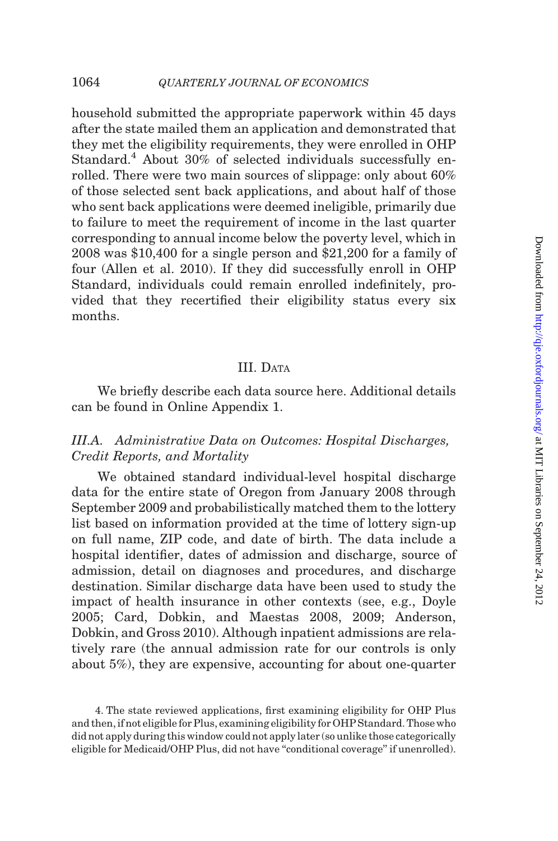<span id="page-7-0"></span>household submitted the appropriate paperwork within 45 days after the state mailed them an application and demonstrated that they met the eligibility requirements, they were enrolled in OHP Standard.<sup>4</sup> About 30% of selected individuals successfully enrolled. There were two main sources of slippage: only about 60% of those selected sent back applications, and about half of those who sent back applications were deemed ineligible, primarily due to failure to meet the requirement of income in the last quarter corresponding to annual income below the poverty level, which in 2008 was \$10,400 for a single person and \$21,200 for a family of four ([Allen et al. 2010](#page-47-0)). If they did successfully enroll in OHP Standard, individuals could remain enrolled indefinitely, provided that they recertified their eligibility status every six months.

## III. DATA

We briefly describe each data source here. Additional details can be found in Online Appendix 1.

## III.A. Administrative Data on Outcomes: Hospital Discharges, Credit Reports, and Mortality

We obtained standard individual-level hospital discharge data for the entire state of Oregon from January 2008 through September 2009 and probabilistically matched them to the lottery list based on information provided at the time of lottery sign-up on full name, ZIP code, and date of birth. The data include a hospital identifier, dates of admission and discharge, source of admission, detail on diagnoses and procedures, and discharge destination. Similar discharge data have been used to study the impact of health insurance in other contexts (see, e.g., [Doyle](#page-48-0) [2005](#page-48-0); [Card, Dobkin, and Maestas 2008](#page-47-0), [2009](#page-47-0); [Anderson,](#page-47-0) [Dobkin, and Gross 2010](#page-47-0)). Although inpatient admissions are relatively rare (the annual admission rate for our controls is only about 5%), they are expensive, accounting for about one-quarter

4. The state reviewed applications, first examining eligibility for OHP Plus and then, if not eligible for Plus, examining eligibility for OHP Standard. Those who did not apply during this window could not apply later (so unlike those categorically eligible for Medicaid/OHP Plus, did not have ''conditional coverage'' if unenrolled).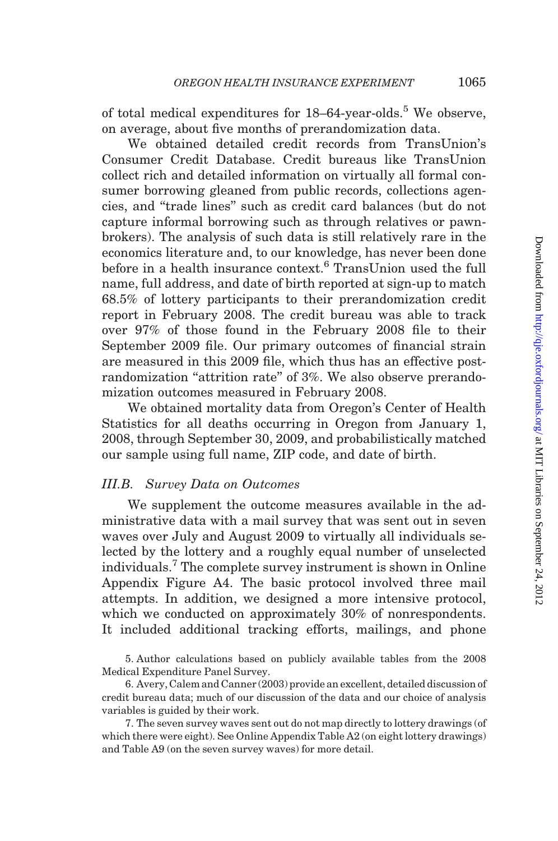of total medical expenditures for  $18-64$ -year-olds.<sup>5</sup> We observe, on average, about five months of prerandomization data.

We obtained detailed credit records from TransUnion's Consumer Credit Database. Credit bureaus like TransUnion collect rich and detailed information on virtually all formal consumer borrowing gleaned from public records, collections agencies, and ''trade lines'' such as credit card balances (but do not capture informal borrowing such as through relatives or pawnbrokers). The analysis of such data is still relatively rare in the economics literature and, to our knowledge, has never been done before in a health insurance context.<sup>6</sup> TransUnion used the full name, full address, and date of birth reported at sign-up to match 68.5% of lottery participants to their prerandomization credit report in February 2008. The credit bureau was able to track over 97% of those found in the February 2008 file to their September 2009 file. Our primary outcomes of financial strain are measured in this 2009 file, which thus has an effective postrandomization "attrition rate" of 3%. We also observe prerandomization outcomes measured in February 2008.

We obtained mortality data from Oregon's Center of Health Statistics for all deaths occurring in Oregon from January 1, 2008, through September 30, 2009, and probabilistically matched our sample using full name, ZIP code, and date of birth.

## III.B. Survey Data on Outcomes

We supplement the outcome measures available in the administrative data with a mail survey that was sent out in seven waves over July and August 2009 to virtually all individuals selected by the lottery and a roughly equal number of unselected individuals.<sup>7</sup> The complete survey instrument is shown in Online Appendix Figure A4. The basic protocol involved three mail attempts. In addition, we designed a more intensive protocol, which we conducted on approximately 30% of nonrespondents. It included additional tracking efforts, mailings, and phone

5. Author calculations based on publicly available tables from the 2008 Medical Expenditure Panel Survey.

6. [Avery, Calem and Canner \(2003\)](#page-47-0) provide an excellent, detailed discussion of credit bureau data; much of our discussion of the data and our choice of analysis variables is guided by their work.

7. The seven survey waves sent out do not map directly to lottery drawings (of which there were eight). See Online Appendix Table A2 (on eight lottery drawings) and Table A9 (on the seven survey waves) for more detail.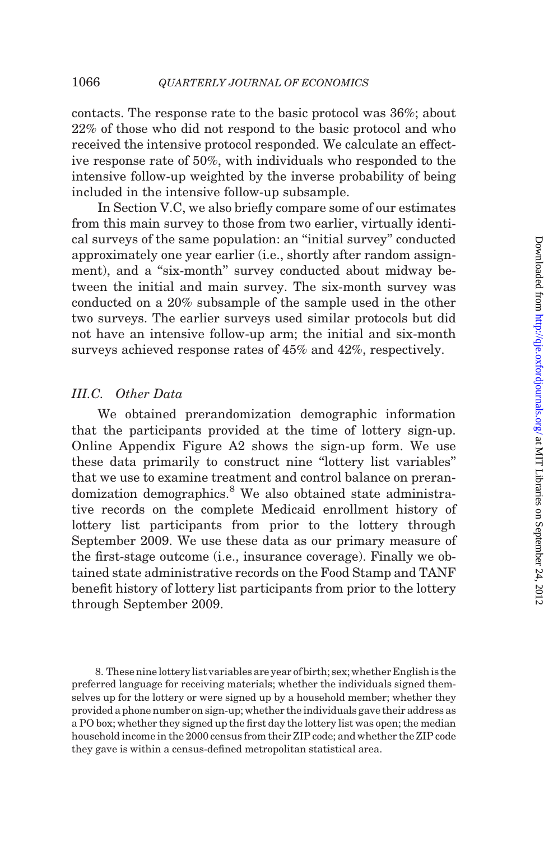contacts. The response rate to the basic protocol was 36%; about 22% of those who did not respond to the basic protocol and who received the intensive protocol responded. We calculate an effective response rate of 50%, with individuals who responded to the intensive follow-up weighted by the inverse probability of being included in the intensive follow-up subsample.

In [Section V.C,](#page-38-0) we also briefly compare some of our estimates from this main survey to those from two earlier, virtually identical surveys of the same population: an ''initial survey'' conducted approximately one year earlier (i.e., shortly after random assignment), and a "six-month" survey conducted about midway between the initial and main survey. The six-month survey was conducted on a 20% subsample of the sample used in the other two surveys. The earlier surveys used similar protocols but did not have an intensive follow-up arm; the initial and six-month surveys achieved response rates of 45% and 42%, respectively.

## III.C. Other Data

We obtained prerandomization demographic information that the participants provided at the time of lottery sign-up. Online Appendix Figure A2 shows the sign-up form. We use these data primarily to construct nine ''lottery list variables'' that we use to examine treatment and control balance on prerandomization demographics.<sup>8</sup> We also obtained state administrative records on the complete Medicaid enrollment history of lottery list participants from prior to the lottery through September 2009. We use these data as our primary measure of the first-stage outcome (i.e., insurance coverage). Finally we obtained state administrative records on the Food Stamp and TANF benefit history of lottery list participants from prior to the lottery through September 2009.

8. These nine lottery list variables are year of birth; sex; whether English is the preferred language for receiving materials; whether the individuals signed themselves up for the lottery or were signed up by a household member; whether they provided a phone number on sign-up; whether the individuals gave their address as a PO box; whether they signed up the first day the lottery list was open; the median household income in the 2000 census from their ZIP code; and whether the ZIP code they gave is within a census-defined metropolitan statistical area.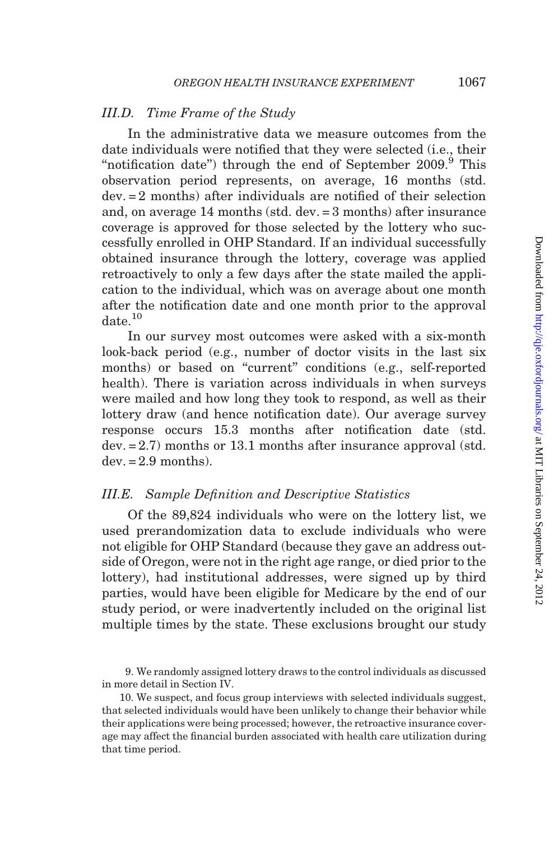## <span id="page-10-0"></span>III.D. Time Frame of the Study

In the administrative data we measure outcomes from the date individuals were notified that they were selected (i.e., their "notification date") through the end of September  $2009$ . This observation period represents, on average, 16 months (std. dev. = 2 months) after individuals are notified of their selection and, on average 14 months (std. dev. = 3 months) after insurance coverage is approved for those selected by the lottery who successfully enrolled in OHP Standard. If an individual successfully obtained insurance through the lottery, coverage was applied retroactively to only a few days after the state mailed the application to the individual, which was on average about one month after the notification date and one month prior to the approval date.<sup>10</sup>

In our survey most outcomes were asked with a six-month look-back period (e.g., number of doctor visits in the last six months) or based on "current" conditions (e.g., self-reported health). There is variation across individuals in when surveys were mailed and how long they took to respond, as well as their lottery draw (and hence notification date). Our average survey response occurs 15.3 months after notification date (std. dev. = 2.7) months or 13.1 months after insurance approval (std.  $dev = 2.9$  months).

## III.E. Sample Definition and Descriptive Statistics

Of the 89,824 individuals who were on the lottery list, we used prerandomization data to exclude individuals who were not eligible for OHP Standard (because they gave an address outside of Oregon, were not in the right age range, or died prior to the lottery), had institutional addresses, were signed up by third parties, would have been eligible for Medicare by the end of our study period, or were inadvertently included on the original list multiple times by the state. These exclusions brought our study

9. We randomly assigned lottery draws to the control individuals as discussed in more detail in [Section IV.](#page-14-0)

10. We suspect, and focus group interviews with selected individuals suggest, that selected individuals would have been unlikely to change their behavior while their applications were being processed; however, the retroactive insurance coverage may affect the financial burden associated with health care utilization during that time period.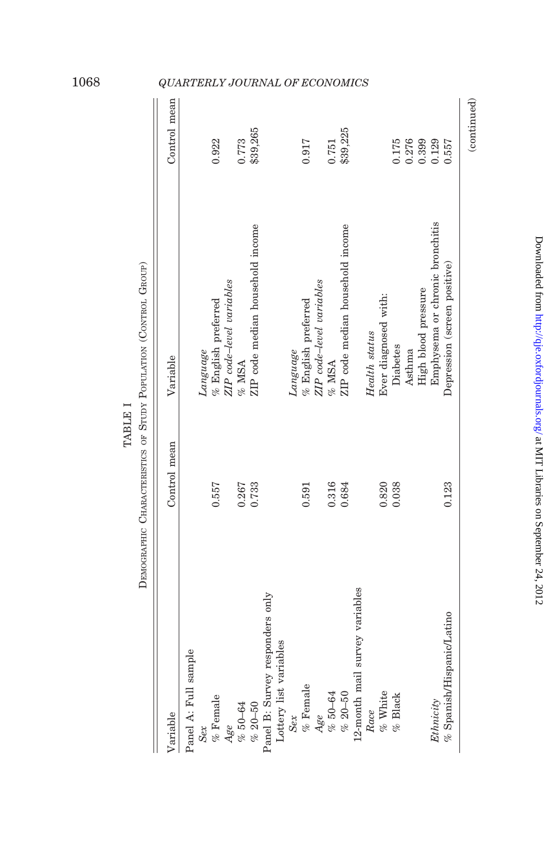|                                 |              | DESCRIPTION OF A PRODUCT IN A PRODUCT OF DEVICE THE SERVICE OF A PRODUCT OF A PRODUCT OF A PRODUCT OF A PRODUCT |              |
|---------------------------------|--------------|-----------------------------------------------------------------------------------------------------------------|--------------|
| Variable                        | Control mean | Variable                                                                                                        | Control mean |
| Panel A: Full sample            |              |                                                                                                                 |              |
| Sex                             |              | Language                                                                                                        |              |
| $\%$ Female                     | 0.557        | % English preferred                                                                                             | 0.922        |
| Age                             |              | ZIP code-level variables                                                                                        |              |
| $% 50-64$                       | 0.267        | $%$ MSA                                                                                                         | 0.773        |
| $% 20-50$                       | 0.733        | ZIP code median household income                                                                                | \$39,265     |
| Panel B: Survey responders only |              |                                                                                                                 |              |
| Lottery list variables          |              |                                                                                                                 |              |
| Sex                             |              | Language                                                                                                        |              |
| % Female                        | 0.591        | $%$ English preferred                                                                                           | 0.917        |
| Age                             |              | ZIP code-level variables                                                                                        |              |
| %50–64                          | 0.316        | $\%$ MSA                                                                                                        | 0.751        |
| $% 20-50$                       | 0.684        | ZIP code median household income                                                                                | \$39,225     |
| 12-month mail survey variables  |              |                                                                                                                 |              |
| Race                            |              | Health status                                                                                                   |              |
| % White                         | 0.820        | Ever diagnosed with:                                                                                            |              |
| $%$ Black                       | 0.038        | Diabetes                                                                                                        | 0.175        |
|                                 |              | Asthma                                                                                                          | 0.276        |
|                                 |              | High blood pressure                                                                                             | 0.399        |
| Ethnicity                       |              | Emphysema or chronic bronchitis                                                                                 | 0.129        |
| $%$ Spanish/Hispanic/Latino     | 0.123        | Depression (screen positive)                                                                                    | 0.557        |
|                                 |              |                                                                                                                 | (continued)  |

TABLE I TABLE I

OF STIDY POPITATION (CONTROL GROUP) DEMOGRAPHIC CHARACTERISTICS OF STUDY POPULATION (CONTROL GROUP) Ş DEMOGRAPHIC CHARACTER

## <span id="page-11-0"></span>1068 QUARTERLY JOURNAL OF ECONOMICS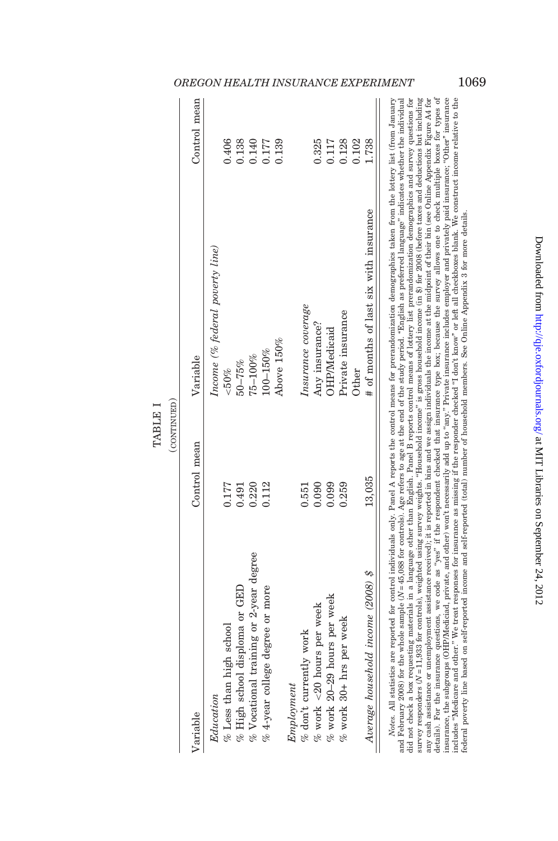|                                          | (CONTINUED)  |                                        |              |
|------------------------------------------|--------------|----------------------------------------|--------------|
| Variable                                 | Control mean | Variable                               | Control mean |
| Education                                |              | Income (% federal poverty line)        |              |
| % Less than high school                  | 0.177        | & 50%                                  | 0.406        |
| % High school disploma or GED            | 0.491        | $50 - 75\%$                            | 0.138        |
| $%$ Vocational training or 2-year degree | 0.220        | $75 - 100\%$                           | 0.140        |
| $%$ 4-year college degree or more        | 0.112        | 100-150%                               | 0.177        |
|                                          |              | Above 150%                             | 0.139        |
| $\label{eq:improton} Employment$         |              |                                        |              |
| $%$ don't currently work                 | 0.551        | Insurance coverage                     |              |
| $\%$ work <20 hours per week             | 0.090        | Any insurance?                         | 0.325        |
| $\%$ work 20-29 hours per week           | 0.099        | OHP/Medicaid                           | 0.117        |
| % work 30+ hrs per week                  | 0.259        | Private insurance                      | 0.128        |
|                                          |              | Other                                  | 0.102        |
| Average household income (2008) \$       | 13,035       | # of months of last six with insurance | 1.738        |

## OREGON HEALTH INSURANCE EXPERIMENT 1069

survey responders ( $N=11,933$  for controls), weighted using survey weights. "Household income" is gross household income (in \$) for 2008 (before taxes and deductions but including<br>any cash assistance or unemployment assis details). For the insurance questions, we code as "yes" if the respondent checked that insurance type box; because the survey allows one to check multiple boxes for types of insurance, the subgroups (OHP/Mediciad, private, and other) won't necessarily add up to "any." Private insurance includes employer and privately paid insurance; "Other" insurance ncludes "Medicare and other." We treat responses for insurance as missing if the responder checked 'I don't know" or left all checkboxes blank. We construct income relative to the and February 2008) for the whole sample (V =45,088 for controls). Age refers to age at the end of the study period. "English as preferred language" indicates whether the individual<br>did not check a box requesting materials  $N = 45,088$  for controls). Age refers to age at the end of the study period. "English as preferred language" indicates whether the individual did not check a box requesting materials in a language other than English. Panel B reports control means of lottery list prerandomization demographics and survey questions for  $N = 11,933$  for controls), weighted using survey weights. "Household income" is gross household income (in \$) for 2008 (before taxes and deductions but including any cash assistance or unemployment assistance received); it is reported in bins and we assign individuals the income at the midpoint of their bin (see Online Appendix Figure A4 for details). For the insurance questions, we code as ''yes'' if the respondent checked that insurance type box; because the survey allows one to check multiple boxes for types of insurance, the subgroups (OHP/Mediciad, private, and other) won't necessarily add up to ''any.'' Private insurance includes employer and privately paid insurance; ''Other'' insurance includes ''Medicare and other.'' We treat responses for insurance as missing if the responder checked ''I don't know'' or left all checkboxes blank. We construct income relative to the federal poverty line based on self-reported income and self-reported (total) number of household members. See Online Appendix 3 for more details. federal poverty line based on self-reported income and self-reported (total) number of household members. See Online Appendix 3 for more details. and February 2008) for the whole sample ( survey responders (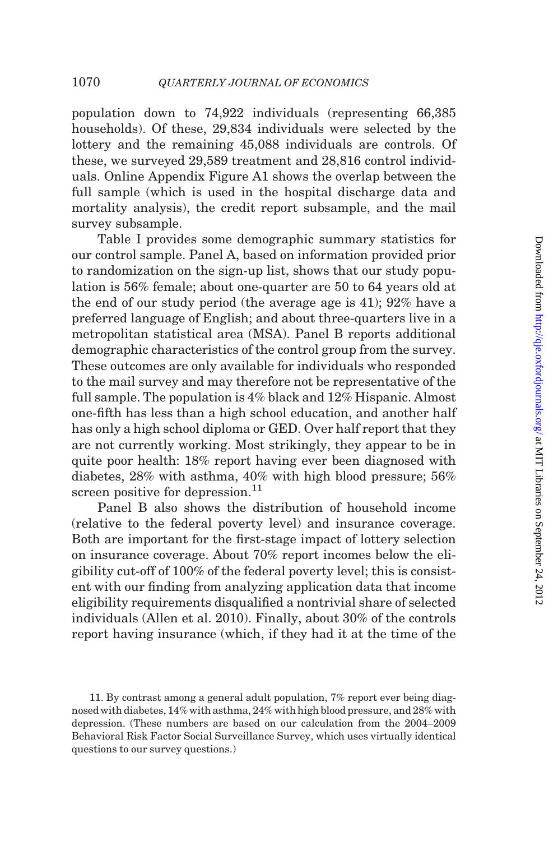population down to 74,922 individuals (representing 66,385 households). Of these, 29,834 individuals were selected by the lottery and the remaining 45,088 individuals are controls. Of these, we surveyed 29,589 treatment and 28,816 control individuals. Online Appendix Figure A1 shows the overlap between the full sample (which is used in the hospital discharge data and mortality analysis), the credit report subsample, and the mail survey subsample.

[Table I](#page-11-0) provides some demographic summary statistics for our control sample. Panel A, based on information provided prior to randomization on the sign-up list, shows that our study population is 56% female; about one-quarter are 50 to 64 years old at the end of our study period (the average age is 41); 92% have a preferred language of English; and about three-quarters live in a metropolitan statistical area (MSA). Panel B reports additional demographic characteristics of the control group from the survey. These outcomes are only available for individuals who responded to the mail survey and may therefore not be representative of the full sample. The population is 4% black and 12% Hispanic. Almost one-fifth has less than a high school education, and another half has only a high school diploma or GED. Over half report that they are not currently working. Most strikingly, they appear to be in quite poor health: 18% report having ever been diagnosed with diabetes, 28% with asthma, 40% with high blood pressure; 56% screen positive for depression.<sup>11</sup>

Panel B also shows the distribution of household income (relative to the federal poverty level) and insurance coverage. Both are important for the first-stage impact of lottery selection on insurance coverage. About 70% report incomes below the eligibility cut-off of 100% of the federal poverty level; this is consistent with our finding from analyzing application data that income eligibility requirements disqualified a nontrivial share of selected individuals [\(Allen et al. 2010](#page-47-0)). Finally, about 30% of the controls report having insurance (which, if they had it at the time of the

<sup>11.</sup> By contrast among a general adult population, 7% report ever being diagnosed with diabetes, 14% with asthma, 24% with high blood pressure, and 28% with depression. (These numbers are based on our calculation from the 2004–2009 Behavioral Risk Factor Social Surveillance Survey, which uses virtually identical questions to our survey questions.)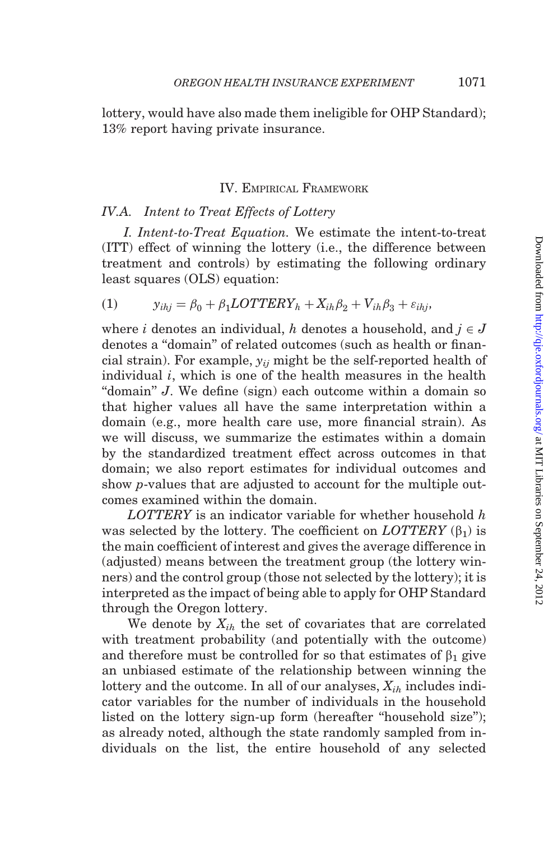<span id="page-14-0"></span>lottery, would have also made them ineligible for OHP Standard); 13% report having private insurance.

## IV. EMPIRICAL FRAMEWORK

## IV.A. Intent to Treat Effects of Lottery

I. Intent-to-Treat Equation. We estimate the intent-to-treat (ITT) effect of winning the lottery (i.e., the difference between treatment and controls) by estimating the following ordinary least squares (OLS) equation:

$$
(1) \t yihj = \beta_0 + \beta_1 LOTTERY_h + Xih\beta_2 + Vih\beta_3 + \varepsilon_{ihj},
$$

where *i* denotes an individual, *h* denotes a household, and  $i \in J$ denotes a ''domain'' of related outcomes (such as health or financial strain). For example,  $y_{ii}$  might be the self-reported health of individual  $i$ , which is one of the health measures in the health "domain" J. We define (sign) each outcome within a domain so that higher values all have the same interpretation within a domain (e.g., more health care use, more financial strain). As we will discuss, we summarize the estimates within a domain by the standardized treatment effect across outcomes in that domain; we also report estimates for individual outcomes and show p-values that are adjusted to account for the multiple outcomes examined within the domain.

 $LOTTERY$  is an indicator variable for whether household  $h$ was selected by the lottery. The coefficient on  $LOTTERY(\beta_1)$  is the main coefficient of interest and gives the average difference in (adjusted) means between the treatment group (the lottery winners) and the control group (those not selected by the lottery); it is interpreted as the impact of being able to apply for OHP Standard through the Oregon lottery.

We denote by  $X_{ih}$  the set of covariates that are correlated with treatment probability (and potentially with the outcome) and therefore must be controlled for so that estimates of  $\beta_1$  give an unbiased estimate of the relationship between winning the lottery and the outcome. In all of our analyses,  $X_{ih}$  includes indicator variables for the number of individuals in the household listed on the lottery sign-up form (hereafter "household size"); as already noted, although the state randomly sampled from individuals on the list, the entire household of any selected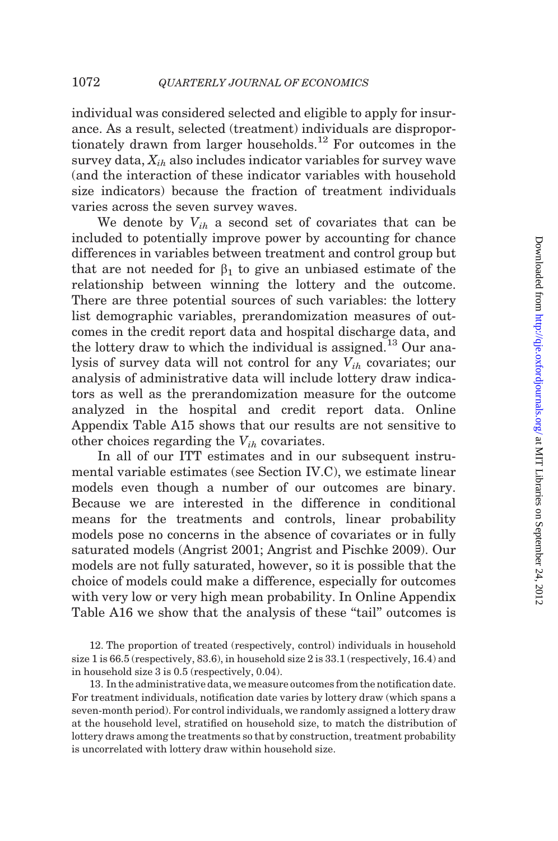individual was considered selected and eligible to apply for insurance. As a result, selected (treatment) individuals are disproportionately drawn from larger households.<sup>12</sup> For outcomes in the survey data,  $X_{ih}$  also includes indicator variables for survey wave (and the interaction of these indicator variables with household size indicators) because the fraction of treatment individuals varies across the seven survey waves.

We denote by  $V_{ih}$  a second set of covariates that can be included to potentially improve power by accounting for chance differences in variables between treatment and control group but that are not needed for  $\beta_1$  to give an unbiased estimate of the relationship between winning the lottery and the outcome. There are three potential sources of such variables: the lottery list demographic variables, prerandomization measures of outcomes in the credit report data and hospital discharge data, and the lottery draw to which the individual is assigned.<sup>13</sup> Our analysis of survey data will not control for any  $V_{ih}$  covariates; our analysis of administrative data will include lottery draw indicators as well as the prerandomization measure for the outcome analyzed in the hospital and credit report data. Online Appendix Table A15 shows that our results are not sensitive to other choices regarding the  $V_{ih}$  covariates.

In all of our ITT estimates and in our subsequent instrumental variable estimates (see [Section IV.C](#page-20-0)), we estimate linear models even though a number of our outcomes are binary. Because we are interested in the difference in conditional means for the treatments and controls, linear probability models pose no concerns in the absence of covariates or in fully saturated models [\(Angrist 2001; Angrist and Pischke 2009\)](#page-47-0). Our models are not fully saturated, however, so it is possible that the choice of models could make a difference, especially for outcomes with very low or very high mean probability. In Online Appendix Table A16 we show that the analysis of these "tail" outcomes is

13. In the administrative data, we measure outcomes from the notification date. For treatment individuals, notification date varies by lottery draw (which spans a seven-month period). For control individuals, we randomly assigned a lottery draw at the household level, stratified on household size, to match the distribution of lottery draws among the treatments so that by construction, treatment probability is uncorrelated with lottery draw within household size.

<sup>12.</sup> The proportion of treated (respectively, control) individuals in household size 1 is 66.5 (respectively, 83.6), in household size 2 is 33.1 (respectively, 16.4) and in household size 3 is 0.5 (respectively, 0.04).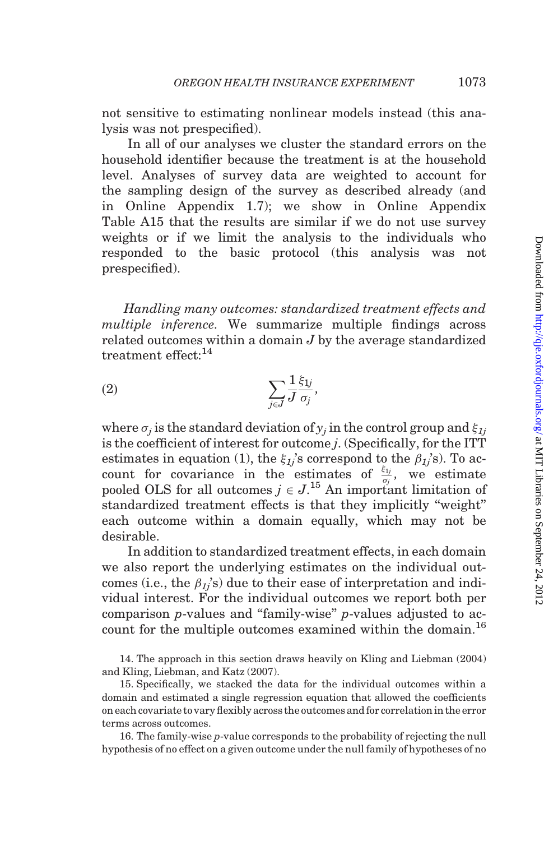not sensitive to estimating nonlinear models instead (this analysis was not prespecified).

In all of our analyses we cluster the standard errors on the household identifier because the treatment is at the household level. Analyses of survey data are weighted to account for the sampling design of the survey as described already (and in Online Appendix 1.7); we show in Online Appendix Table A15 that the results are similar if we do not use survey weights or if we limit the analysis to the individuals who responded to the basic protocol (this analysis was not prespecified).

Handling many outcomes: standardized treatment effects and multiple inference. We summarize multiple findings across related outcomes within a domain J by the average standardized treatment effect: $14$ 

$$
(2) \qquad \qquad \sum_{j\in J} \frac{1}{J} \frac{\xi_{1j}}{\sigma_j},
$$

where  $\sigma_i$  is the standard deviation of  $y_i$  in the control group and  $\xi_{1i}$ is the coefficient of interest for outcome j. (Specifically, for the ITT estimates in equation (1), the  $\xi_{1j}$ 's correspond to the  $\beta_{1j}$ 's). To account for covariance in the estimates of  $\frac{\xi_{1j}}{\sigma_j}$ , we estimate pooled OLS for all outcomes  $j \in J$ <sup>15</sup> An important limitation of standardized treatment effects is that they implicitly ''weight'' each outcome within a domain equally, which may not be desirable.

In addition to standardized treatment effects, in each domain we also report the underlying estimates on the individual outcomes (i.e., the  $\beta_{1j}$ 's) due to their ease of interpretation and individual interest. For the individual outcomes we report both per comparison p-values and ''family-wise'' p-values adjusted to account for the multiple outcomes examined within the domain.<sup>16</sup>

14. The approach in this section draws heavily on [Kling and Liebman \(2004\)](#page-48-0) and [Kling, Liebman, and Katz \(2007\).](#page-48-0)

15. Specifically, we stacked the data for the individual outcomes within a domain and estimated a single regression equation that allowed the coefficients on each covariate tovaryflexibly acrossthe outcomes andfor correlation in the error terms across outcomes.

16. The family-wise p-value corresponds to the probability of rejecting the null hypothesis of no effect on a given outcome under the null family of hypotheses of no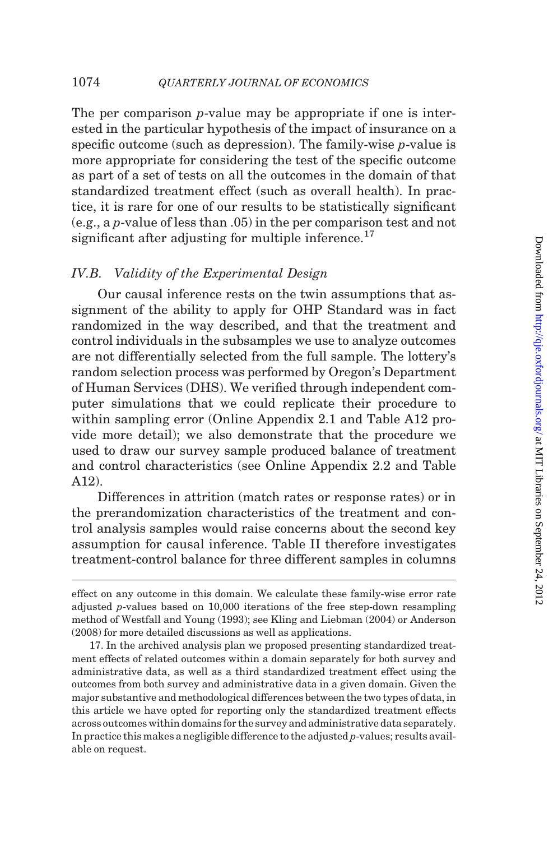The per comparison *p*-value may be appropriate if one is interested in the particular hypothesis of the impact of insurance on a specific outcome (such as depression). The family-wise p-value is more appropriate for considering the test of the specific outcome as part of a set of tests on all the outcomes in the domain of that standardized treatment effect (such as overall health). In practice, it is rare for one of our results to be statistically significant (e.g., a p-value of less than .05) in the per comparison test and not significant after adjusting for multiple inference.<sup>17</sup>

## IV.B. Validity of the Experimental Design

Our causal inference rests on the twin assumptions that assignment of the ability to apply for OHP Standard was in fact randomized in the way described, and that the treatment and control individuals in the subsamples we use to analyze outcomes are not differentially selected from the full sample. The lottery's random selection process was performed by Oregon's Department of Human Services (DHS). We verified through independent computer simulations that we could replicate their procedure to within sampling error (Online Appendix 2.1 and Table A12 provide more detail); we also demonstrate that the procedure we used to draw our survey sample produced balance of treatment and control characteristics (see Online Appendix 2.2 and Table A12).

Differences in attrition (match rates or response rates) or in the prerandomization characteristics of the treatment and control analysis samples would raise concerns about the second key assumption for causal inference. [Table II](#page-18-0) therefore investigates treatment-control balance for three different samples in columns

effect on any outcome in this domain. We calculate these family-wise error rate adjusted p-values based on 10,000 iterations of the free step-down resampling method of [Westfall and Young \(1993\);](#page-49-0) see [Kling and Liebman \(2004\)](#page-48-0) or [Anderson](#page-47-0) [\(2008\)](#page-47-0) for more detailed discussions as well as applications.

<sup>17.</sup> In the archived analysis plan we proposed presenting standardized treatment effects of related outcomes within a domain separately for both survey and administrative data, as well as a third standardized treatment effect using the outcomes from both survey and administrative data in a given domain. Given the major substantive and methodological differences between the two types of data, in this article we have opted for reporting only the standardized treatment effects across outcomes within domains for the survey and administrative data separately. In practice this makes a negligible difference to the adjusted p-values; results available on request.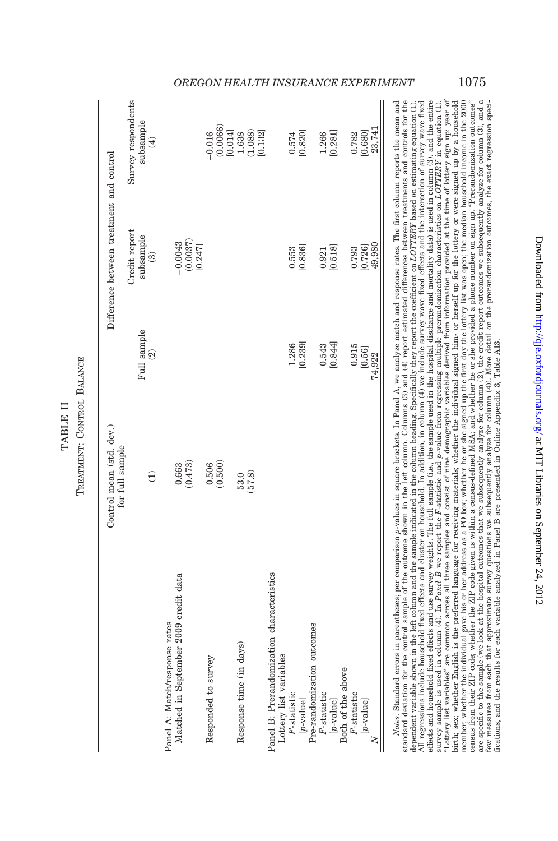|  | こう ひこうこうこうこう こうつううこうりょう イル・オン・オ<br>Í<br>į |
|--|-------------------------------------------|
|  |                                           |

<span id="page-18-0"></span>

|                                                                                                                                                                | Control mean (std. dev.) |                  | Difference between treatment and control    |                                                                                   |
|----------------------------------------------------------------------------------------------------------------------------------------------------------------|--------------------------|------------------|---------------------------------------------|-----------------------------------------------------------------------------------|
|                                                                                                                                                                | for full sample          |                  |                                             |                                                                                   |
|                                                                                                                                                                | $\widehat{\Xi}$          | Full sample      | Credit report<br>subsample<br>$\widehat{3}$ | Survey respondents<br>subsample                                                   |
|                                                                                                                                                                |                          | $\widehat{2}$    |                                             | $\widehat{E}$                                                                     |
| Matched in September 2009 credit data<br>Panel A: Match/response rates                                                                                         | (0.473)<br>0.663         |                  | $(0.0037)$<br>$[0.247]$<br>$-0.0043$        |                                                                                   |
| Responded to survey                                                                                                                                            | (0.500)<br>0.506         |                  |                                             | $-0.016$                                                                          |
| Response time (in days)                                                                                                                                        | (57.8)<br>53.0           |                  |                                             | $\begin{array}{c} (0.0066) \\ [0.014] \\ 1.638 \\ (1.088) \\ (0.132] \end{array}$ |
| Panel B: Prerandomization characteristics                                                                                                                      |                          |                  |                                             |                                                                                   |
| Lottery list variables<br>$F$ -statistic<br>[p-value]                                                                                                          |                          | [0.239]<br>1.286 | [0.836]<br>0.553                            | [0.820]<br>0.574                                                                  |
| Pre-randomization outcomes<br>$F$ -statistic                                                                                                                   |                          | 0.543            | 0.921                                       |                                                                                   |
| [p-value]                                                                                                                                                      |                          | [0.844]          | [0.518]                                     | $1.266$<br>[0.281]                                                                |
| Both of the above<br>$F$ -statistic                                                                                                                            |                          | 0.915            | 0.793                                       | 0.782                                                                             |
| $[p-value]$                                                                                                                                                    |                          | [0.56]           | [0.726]                                     | [0.680]                                                                           |
|                                                                                                                                                                |                          | 74,922           | 49,980                                      | 23,741                                                                            |
| Notes Standard errors in parentheses: per comparison p-ralines in source in papel A we analyze match and response rates (The first column reports the mean and |                          |                  |                                             |                                                                                   |

TREATMENT: CONTROL BALANCE TREATMENT: CONTROL TABLE II TABLE II

dependent variable shown in the left column and the sample indicated in the column heading. Specifically they report the coefficient on *LOTTERY* based on estimating equation (1).<br>All regressions include household fixed ef effects and household fixed effects and use survey weights. The full sample (i.e., the sample used in the hospital discharge and mortality data) is used in column (3), and the entire<br>The same of the same of the same of th member; whether the individual gave his or her address as a PO box; whether he or she signed up the first day the lottery list was open; the median household income in the 2000<br>are specific to the sample (we look at the ho a sua construction and the material complete the complete process in a sua construction of the construction of the complete process in the construction of the construction of the construction of the construction of the con ''Lottery list variables'' are common across all three samples and consist of nine demographic variables derived from information provided at the time of lottery sign up: year of birth; sex; whether English is the preferred language for receiving materials; whether the individual signed him- or herself up for the lottery or were signed up by a household few measures from each that approximate survey questions we subsequently analyze for column (4)). More detail on the prerandomization outcomes, the exact regression speci-<br>fications, and the results for each variable analy Notes. Standard errors in parentheses; per comparison p-values in square brackets. In Panel A, we analyze match and response rates. The first column reports the mean and standard deviation for the control sample of the outcome shown in the left column. Columns (3) and (4) report estimated differences between treatments and controls for the dependent variable shown in the left column and the sample indicated in the column heading. Specifically they report the coefficient on LOTTERY based on estimating equation (1). All regressions include household fixed effects and cluster on household. In addition, in column (4) we include survey wave fixed effects and the interaction of survey wave fixed effects and household fixed effects and use survey weights. The full sample (i.e., the sample used in the hospital discharge and mortality data) is used in column (3). and the entire survey sample is used in column (4). In Panel B we report the F-statistic and p-value from regressing multiple prerandomization characteristics on LOTTERY in equation (1). birth; sex; whether English is the preferred language for receiving materials; whether the individual signed him- or herself up for the lottery or were signed up by a household member; whether the individual gave his or her address as a PO box; whether he or she signed up the first day the lottery list was open; the median household income in the 2000 census from their ZIP code; whether the ZIP code given is within a census-defined MSA; and whether he or she provided a phone number on sign up. ''Prerandomization outcomes'' are specific to the sample (we look at the hospital outcomes that we subsequently analyze for column (2), the credit report outcomes we subsequently analyze for column (3), and a few measures from each that approximate survey questions we subsequently analyze for column (4)). More detail on the prerandomization outcomes, the exact regression specifications, and the results for each variable analyzed in Panel B are presented in Online Appendix 3, Table A13.

## OREGON HEALTH INSURANCE EXPERIMENT 1075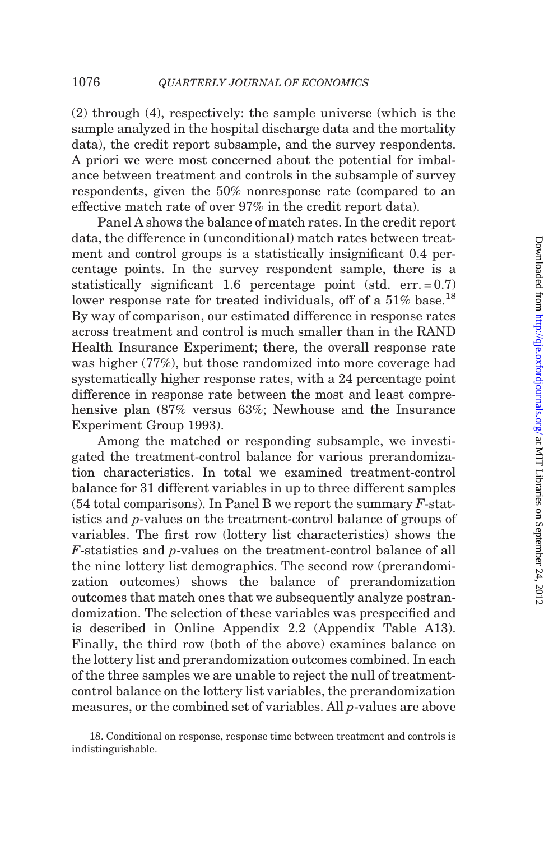(2) through (4), respectively: the sample universe (which is the sample analyzed in the hospital discharge data and the mortality data), the credit report subsample, and the survey respondents. A priori we were most concerned about the potential for imbalance between treatment and controls in the subsample of survey respondents, given the 50% nonresponse rate (compared to an effective match rate of over 97% in the credit report data).

Panel A shows the balance of match rates. In the credit report data, the difference in (unconditional) match rates between treatment and control groups is a statistically insignificant 0.4 percentage points. In the survey respondent sample, there is a statistically significant 1.6 percentage point (std. err.  $= 0.7$ ) lower response rate for treated individuals, off of a 51% base.<sup>18</sup> By way of comparison, our estimated difference in response rates across treatment and control is much smaller than in the RAND Health Insurance Experiment; there, the overall response rate was higher (77%), but those randomized into more coverage had systematically higher response rates, with a 24 percentage point difference in response rate between the most and least compre-hensive plan (87% versus 63%; [Newhouse and the Insurance](#page-49-0) [Experiment Group 1993](#page-49-0)).

Among the matched or responding subsample, we investigated the treatment-control balance for various prerandomization characteristics. In total we examined treatment-control balance for 31 different variables in up to three different samples  $(54 \text{ total comparisons})$ . In Panel B we report the summary  $F\text{-}stat$ istics and p-values on the treatment-control balance of groups of variables. The first row (lottery list characteristics) shows the F-statistics and p-values on the treatment-control balance of all the nine lottery list demographics. The second row (prerandomization outcomes) shows the balance of prerandomization outcomes that match ones that we subsequently analyze postrandomization. The selection of these variables was prespecified and is described in Online Appendix 2.2 (Appendix Table A13). Finally, the third row (both of the above) examines balance on the lottery list and prerandomization outcomes combined. In each of the three samples we are unable to reject the null of treatmentcontrol balance on the lottery list variables, the prerandomization measures, or the combined set of variables. All p-values are above

<sup>18.</sup> Conditional on response, response time between treatment and controls is indistinguishable.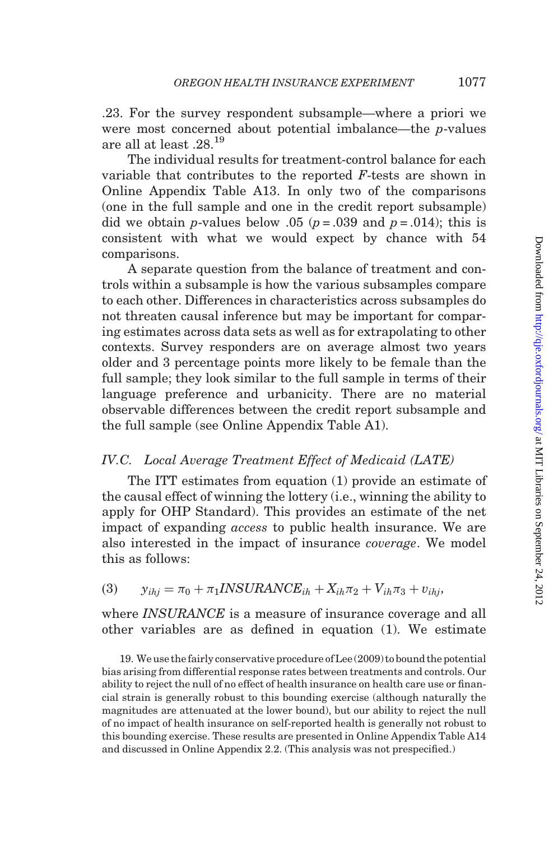<span id="page-20-0"></span>.23. For the survey respondent subsample—where a priori we were most concerned about potential imbalance—the p-values are all at least .28.<sup>19</sup>

The individual results for treatment-control balance for each variable that contributes to the reported F-tests are shown in Online Appendix Table A13. In only two of the comparisons (one in the full sample and one in the credit report subsample) did we obtain *p*-values below .05 ( $p = .039$  and  $p = .014$ ); this is consistent with what we would expect by chance with 54 comparisons.

A separate question from the balance of treatment and controls within a subsample is how the various subsamples compare to each other. Differences in characteristics across subsamples do not threaten causal inference but may be important for comparing estimates across data sets as well as for extrapolating to other contexts. Survey responders are on average almost two years older and 3 percentage points more likely to be female than the full sample; they look similar to the full sample in terms of their language preference and urbanicity. There are no material observable differences between the credit report subsample and the full sample (see Online Appendix Table A1).

## IV.C. Local Average Treatment Effect of Medicaid (LATE)

The ITT estimates from equation (1) provide an estimate of the causal effect of winning the lottery (i.e., winning the ability to apply for OHP Standard). This provides an estimate of the net impact of expanding access to public health insurance. We are also interested in the impact of insurance coverage. We model this as follows:

(3)  $y_{ihi} = \pi_0 + \pi_1 IN SURANCE_{ih} + X_{ih}\pi_2 + V_{ih}\pi_3 + v_{ihj}$ 

where *INSURANCE* is a measure of insurance coverage and all other variables are as defined in equation (1). We estimate

19. We use the fairly conservative procedure of[Lee \(2009\)](#page-48-0) tobound the potential bias arising from differential response rates between treatments and controls. Our ability to reject the null of no effect of health insurance on health care use or financial strain is generally robust to this bounding exercise (although naturally the magnitudes are attenuated at the lower bound), but our ability to reject the null of no impact of health insurance on self-reported health is generally not robust to this bounding exercise. These results are presented in Online Appendix Table A14 and discussed in Online Appendix 2.2. (This analysis was not prespecified.)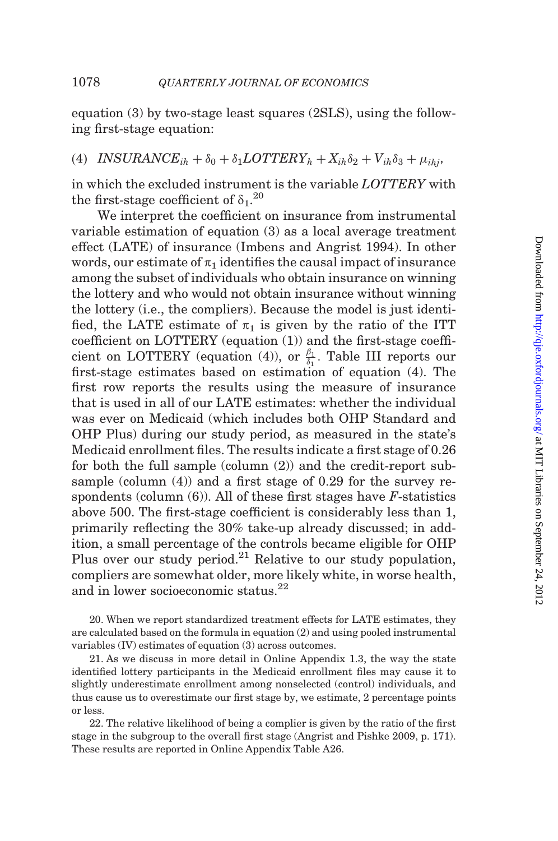equation (3) by two-stage least squares (2SLS), using the following first-stage equation:

(4) INSURANCE<sub>ih</sub> +  $\delta_0$  +  $\delta_1$ LOTTERY<sub>h</sub> +  $X_{ih}\delta_2$  +  $V_{ih}\delta_3$  +  $\mu_{ihj}$ ,

in which the excluded instrument is the variable LOTTERY with the first-stage coefficient of  $\delta_1$ .<sup>20</sup>

We interpret the coefficient on insurance from instrumental variable estimation of equation (3) as a local average treatment effect (LATE) of insurance ([Imbens and Angrist 1994](#page-48-0)). In other words, our estimate of  $\pi_1$  identifies the causal impact of insurance among the subset of individuals who obtain insurance on winning the lottery and who would not obtain insurance without winning the lottery (i.e., the compliers). Because the model is just identified, the LATE estimate of  $\pi_1$  is given by the ratio of the ITT coefficient on LOTTERY (equation (1)) and the first-stage coefficient on LOTTERY (equation (4)), or  $\frac{\beta_1}{\delta_1}$ . [Table III](#page-22-0) reports our first-stage estimates based on estimation of equation (4). The first row reports the results using the measure of insurance that is used in all of our LATE estimates: whether the individual was ever on Medicaid (which includes both OHP Standard and OHP Plus) during our study period, as measured in the state's Medicaid enrollment files. The results indicate a first stage of 0.26 for both the full sample (column (2)) and the credit-report subsample (column (4)) and a first stage of 0.29 for the survey respondents (column  $(6)$ ). All of these first stages have *F*-statistics above 500. The first-stage coefficient is considerably less than 1, primarily reflecting the 30% take-up already discussed; in addition, a small percentage of the controls became eligible for OHP Plus over our study period.<sup>21</sup> Relative to our study population, compliers are somewhat older, more likely white, in worse health, and in lower socioeconomic status.<sup>22</sup>

20. When we report standardized treatment effects for LATE estimates, they are calculated based on the formula in equation (2) and using pooled instrumental variables (IV) estimates of equation (3) across outcomes.

21. As we discuss in more detail in Online Appendix 1.3, the way the state identified lottery participants in the Medicaid enrollment files may cause it to slightly underestimate enrollment among nonselected (control) individuals, and thus cause us to overestimate our first stage by, we estimate, 2 percentage points or less.

22. The relative likelihood of being a complier is given by the ratio of the first stage in the subgroup to the overall first stage ([Angrist and Pishke 2009,](#page-47-0) p. 171). These results are reported in Online Appendix Table A26.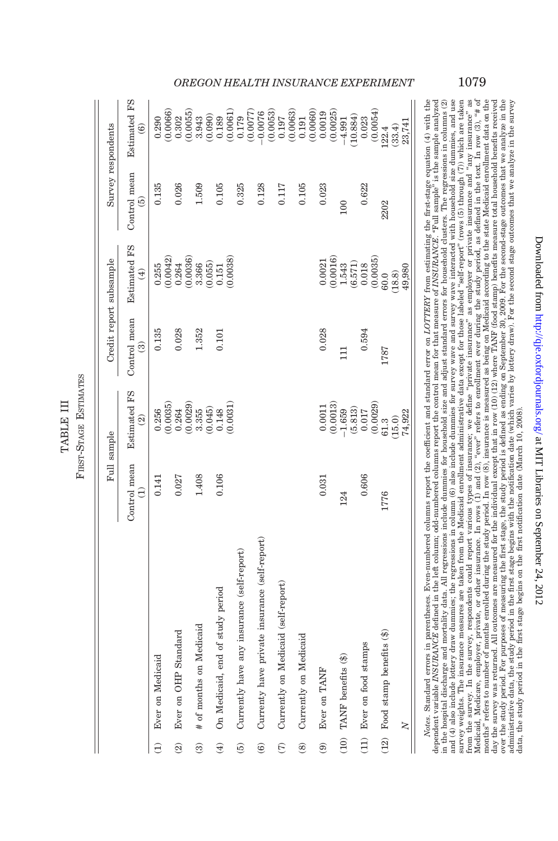<span id="page-22-0"></span>

|                          |                                               | Full sample                     |                                                                                                | Credit report subsample                 |                                                           | Survey respondents            |                                                  |
|--------------------------|-----------------------------------------------|---------------------------------|------------------------------------------------------------------------------------------------|-----------------------------------------|-----------------------------------------------------------|-------------------------------|--------------------------------------------------|
|                          |                                               | Control mean<br>$\widehat{\Xi}$ | <b>Estimated FS</b><br>$\widehat{\mathfrak{D}}$                                                | Control mean<br>$\widehat{\mathcal{C}}$ | <b>Estimated FS</b><br>$\bigoplus$                        | Control mean<br>$\widehat{5}$ | <b>Estimated FS</b><br>$\widehat{\mathbf{e}}$    |
| Ê                        | Ever on Medicaid                              | 0.141                           | 0.256                                                                                          | 0.135                                   | $\frac{0.255}{(0.0042)}$                                  | 0.135                         | 0.290                                            |
| $\widehat{\mathfrak{D}}$ | Ever on OHP Standard                          | 0.027                           | (0.0035)                                                                                       | 0.028                                   |                                                           | 0.026                         | 0.0066<br>0.302                                  |
|                          |                                               |                                 |                                                                                                |                                         | $\begin{array}{c} 0.264 \\ (0.0036) \\ 3.366 \end{array}$ |                               | (0.0055)                                         |
| ම                        | # of months on Medicaid                       | 1.408                           |                                                                                                | 1.352                                   |                                                           | 1.509                         | 3.943                                            |
| $\widehat{\Theta}$       | On Medicaid, end of study period              | 0.106                           | $\begin{array}{c} 0.264 \\ 0.0029) \\ 0.355 \\ 0.045) \\ 0.148 \\ 0.148 \\ 0.031) \end{array}$ | 0.101                                   | (0.055)                                                   | 0.105                         | (0.090)                                          |
|                          |                                               |                                 |                                                                                                |                                         | $\frac{0.151}{(0.0038)}$                                  |                               | $\begin{array}{c} 0.189 \\ (0.0061) \end{array}$ |
| $\widehat{5}$            | Currently have any insurance (self-report)    |                                 |                                                                                                |                                         |                                                           | 0.325                         | 0.179                                            |
|                          |                                               |                                 |                                                                                                |                                         |                                                           |                               | (0.0077)                                         |
| $\widehat{\mathbf{6}}$   | Currenty have private insurance (self-report) |                                 |                                                                                                |                                         |                                                           | 0.128                         | (0.0053)<br>$-0.0076$                            |
| E                        | Currently on Medicaid (self-report)           |                                 |                                                                                                |                                         |                                                           | 0.117                         | 0.197                                            |
|                          |                                               |                                 |                                                                                                |                                         |                                                           |                               | (0.0063)                                         |
| $\circledcirc$           | Currently on Medicaid                         |                                 |                                                                                                |                                         |                                                           | 0.105                         | (0.0060)<br>0.191                                |
| $\widehat{\mathbf{e}}$   | Ever on TANF                                  | 0.031                           | $\begin{array}{c} 0.0011 \\ 0.0013 \end{array}$                                                | 0.028                                   | 0.0021                                                    | 0.023                         | 0.0019                                           |
|                          |                                               |                                 |                                                                                                |                                         | (0.0016)                                                  |                               | (0.0025)                                         |
| (10)                     | TANF benefits (\$)                            | 124                             | (5.813)<br>$-1.659$                                                                            | $\overline{11}$                         | (6.571)<br>1.543                                          | 100                           | (10.884)<br>$-4.991$                             |
|                          | (11) Ever on food stamps                      | 0.606                           | $\begin{array}{c} 0.017 \\ (0.0029) \\ 61.3 \end{array}$                                       | 0.594                                   | $\frac{0.018}{(0.0035)}$                                  | 0.622                         | 0.023                                            |
|                          |                                               |                                 |                                                                                                |                                         |                                                           |                               | (0.0054)                                         |
| (12)                     | Food stamp benefits (\$)                      | 1776                            |                                                                                                | 1787                                    | 60.0                                                      | 2202                          | 122.4                                            |
|                          |                                               |                                 | (15.0)                                                                                         |                                         | $(18.8)$<br>49,980                                        |                               | (33.4)                                           |
|                          | $\geq$                                        |                                 | 74,922                                                                                         |                                         |                                                           |                               | 23,741                                           |
|                          |                                               |                                 |                                                                                                |                                         |                                                           |                               |                                                  |

FIRST-STAGE ESTIMATES ESTIMATES TABLE III TABLE III FIRST-STAGE

day the survey was returned. All outcomes are measured for the individual except that in row (10) (12) where TANF (food stamp) benefits measure total household benefits received over the study period. For purposes of measu administrative data, the study period in the first stage begins with the notification date (which varies by lottery draw). For the second stage outcomes that we analyze in the survey<br>data, the study period in the first sta *Notes*. Standard errors in parentheses. Even-numbered columns report the coefficient and standard error on *LOTTERY* from estimating the first-stage equation (4) with the dependent variable *INSURANCE* defined in the left in the hospital discharge and mortality data. All regressions include dummies for household size and adjust standard errors for household clusters. The regressions in columns (2) and  $(4)$  also include lottery draw dummies; the regressions in column  $(6)$  also include dummies for survey wave and survey wave interacted with household size dummies, and use survey weights. The insurance measures are taken from the Medicaid envollment administrative data except for those labeled "self-report" (rows (5) through (7)) which are taken from the survey. In the survey, respondents could report various types of insurance; we define "private insurance" as employer or private insurance and "any insurance" as Medicaid, Medicare, employer, private, or other insurance. In rows (1) and (2), "ever" refers to enrollment ever during the study period, as defined in the text. In row (3), "# of months" refers to number of months earnolled during the study period. In row (8), insurance is measured as being on Medicaid according to the state Medicaid enrollment data on the state of the state of the state of the sta Notes. Standard errors in parentheses. Even-numbered columns report the coefficient and standard error on LOTTERY from estimating the first-stage equation (4) with the dependent variable INSURANCE defined in the left column; odd-numbered columns report the control mean for that measure of INSURANCE. "Full sample" is the sample analyzed in the hospital discharge and mortality data. All regressions include dummies for household size and adjust standard errors for household clusters. The regressions in columns (2) and (4) also include lottery draw dummies; the regressions in column (6) also include dummies for survey wave and survey wave interacted with household size dummies, and use survey weights. The insurance measures are taken from the Medicaid enrollment administrative data except for those labeled ''self-report'' (rows (5) through (7)) which are taken from the survey. In the survey, respondents could report various types of insurance; we define "private insurance" as employer or private insurance and "any insurance" as Medicaid, Medicare, employer, private, or other insurance. In rows (1) and (2), "ever" refers to enrollment ever during the study period, as defined in the text. In row (3), "# of months" refers to number of months enrolled during the study period. In row (8), insurance is measured as being on Medicaid according to the state Medicaid enrollment data on the day the survey was returned. All outcomes are measured for the individual except that in row (10) (12) where TANF (food stamp) benefits measure total household benefits received over the study period. For purposes of measuring the first stage, the study period is defined as ending on September 30, 2009. For the second-stage outcomes that we analyze in the administrative data, the study period in the first stage begins with the notification date (which varies by lottery draw). For the second stage outcomes that we analyze in the survey data, the study period in the first stage begins on the first notification date (March 10, 2008).

## OREGON HEALTH INSURANCE EXPERIMENT 1079

Downloaded from http://qje.oxfordjournals.org/ at MIT Libraries on September 24, 2012 Downloaded from <http://qje.oxfordjournals.org/> at MIT Libraries on September 24, 2012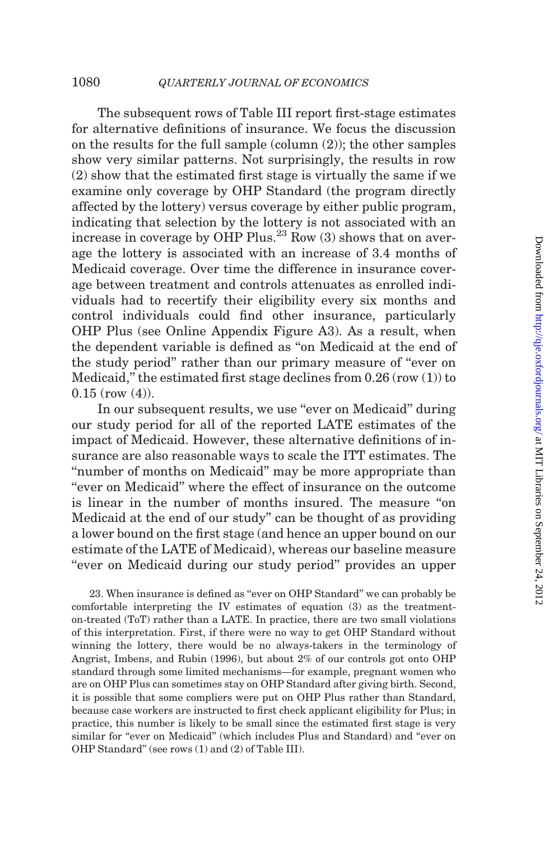The subsequent rows of [Table III](#page-22-0) report first-stage estimates for alternative definitions of insurance. We focus the discussion on the results for the full sample (column (2)); the other samples show very similar patterns. Not surprisingly, the results in row (2) show that the estimated first stage is virtually the same if we examine only coverage by OHP Standard (the program directly affected by the lottery) versus coverage by either public program, indicating that selection by the lottery is not associated with an increase in coverage by OHP Plus.<sup>23</sup> Row  $(3)$  shows that on average the lottery is associated with an increase of 3.4 months of Medicaid coverage. Over time the difference in insurance coverage between treatment and controls attenuates as enrolled individuals had to recertify their eligibility every six months and control individuals could find other insurance, particularly OHP Plus (see Online Appendix Figure A3). As a result, when the dependent variable is defined as ''on Medicaid at the end of the study period'' rather than our primary measure of ''ever on Medicaid," the estimated first stage declines from  $0.26$  (row  $(1)$ ) to  $0.15$  (row  $(4)$ ).

In our subsequent results, we use "ever on Medicaid" during our study period for all of the reported LATE estimates of the impact of Medicaid. However, these alternative definitions of insurance are also reasonable ways to scale the ITT estimates. The "number of months on Medicaid" may be more appropriate than ''ever on Medicaid'' where the effect of insurance on the outcome is linear in the number of months insured. The measure ''on Medicaid at the end of our study'' can be thought of as providing a lower bound on the first stage (and hence an upper bound on our estimate of the LATE of Medicaid), whereas our baseline measure "ever on Medicaid during our study period" provides an upper

23. When insurance is defined as ''ever on OHP Standard'' we can probably be comfortable interpreting the IV estimates of equation (3) as the treatmenton-treated (ToT) rather than a LATE. In practice, there are two small violations of this interpretation. First, if there were no way to get OHP Standard without winning the lottery, there would be no always-takers in the terminology of [Angrist, Imbens, and Rubin \(1996\),](#page-47-0) but about 2% of our controls got onto OHP standard through some limited mechanisms—for example, pregnant women who are on OHP Plus can sometimes stay on OHP Standard after giving birth. Second, it is possible that some compliers were put on OHP Plus rather than Standard, because case workers are instructed to first check applicant eligibility for Plus; in practice, this number is likely to be small since the estimated first stage is very similar for "ever on Medicaid" (which includes Plus and Standard) and "ever on OHP Standard'' (see rows (1) and (2) of [Table III\)](#page-22-0).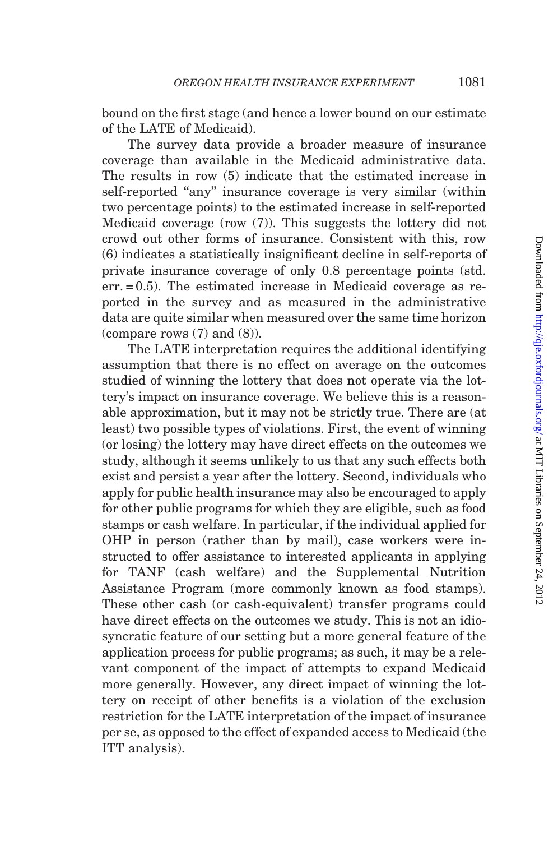bound on the first stage (and hence a lower bound on our estimate of the LATE of Medicaid).

The survey data provide a broader measure of insurance coverage than available in the Medicaid administrative data. The results in row (5) indicate that the estimated increase in self-reported "any" insurance coverage is very similar (within two percentage points) to the estimated increase in self-reported Medicaid coverage (row (7)). This suggests the lottery did not crowd out other forms of insurance. Consistent with this, row (6) indicates a statistically insignificant decline in self-reports of private insurance coverage of only 0.8 percentage points (std. err. = 0.5). The estimated increase in Medicaid coverage as reported in the survey and as measured in the administrative data are quite similar when measured over the same time horizon (compare rows (7) and (8)).

The LATE interpretation requires the additional identifying assumption that there is no effect on average on the outcomes studied of winning the lottery that does not operate via the lottery's impact on insurance coverage. We believe this is a reasonable approximation, but it may not be strictly true. There are (at least) two possible types of violations. First, the event of winning (or losing) the lottery may have direct effects on the outcomes we study, although it seems unlikely to us that any such effects both exist and persist a year after the lottery. Second, individuals who apply for public health insurance may also be encouraged to apply for other public programs for which they are eligible, such as food stamps or cash welfare. In particular, if the individual applied for OHP in person (rather than by mail), case workers were instructed to offer assistance to interested applicants in applying for TANF (cash welfare) and the Supplemental Nutrition Assistance Program (more commonly known as food stamps). These other cash (or cash-equivalent) transfer programs could have direct effects on the outcomes we study. This is not an idiosyncratic feature of our setting but a more general feature of the application process for public programs; as such, it may be a relevant component of the impact of attempts to expand Medicaid more generally. However, any direct impact of winning the lottery on receipt of other benefits is a violation of the exclusion restriction for the LATE interpretation of the impact of insurance per se, as opposed to the effect of expanded access to Medicaid (the ITT analysis).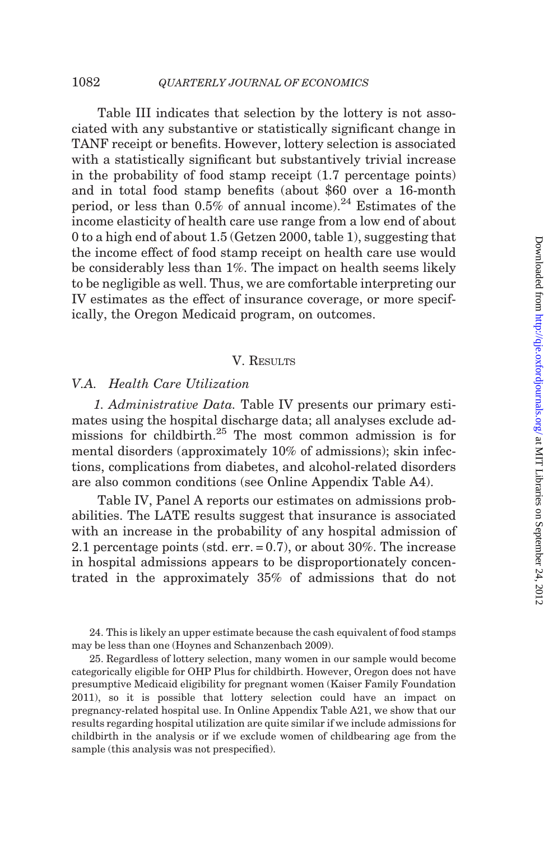<span id="page-25-0"></span>[Table III](#page-22-0) indicates that selection by the lottery is not associated with any substantive or statistically significant change in TANF receipt or benefits. However, lottery selection is associated with a statistically significant but substantively trivial increase in the probability of food stamp receipt (1.7 percentage points) and in total food stamp benefits (about \$60 over a 16-month period, or less than  $0.5\%$  of annual income).<sup>24</sup> Estimates of the income elasticity of health care use range from a low end of about 0 to a high end of about 1.5 [\(Getzen 2000,](#page-48-0) table 1), suggesting that the income effect of food stamp receipt on health care use would be considerably less than 1%. The impact on health seems likely to be negligible as well. Thus, we are comfortable interpreting our IV estimates as the effect of insurance coverage, or more specifically, the Oregon Medicaid program, on outcomes.

## V. RESULTS

## V.A. Health Care Utilization

1. Administrative Data. [Table IV](#page-26-0) presents our primary estimates using the hospital discharge data; all analyses exclude admissions for childbirth.<sup>25</sup> The most common admission is for mental disorders (approximately 10% of admissions); skin infections, complications from diabetes, and alcohol-related disorders are also common conditions (see Online Appendix Table A4).

[Table IV](#page-26-0), Panel A reports our estimates on admissions probabilities. The LATE results suggest that insurance is associated with an increase in the probability of any hospital admission of 2.1 percentage points (std. err. = 0.7), or about 30%. The increase in hospital admissions appears to be disproportionately concentrated in the approximately 35% of admissions that do not

24. This is likely an upper estimate because the cash equivalent of food stamps may be less than one ([Hoynes and Schanzenbach 2009](#page-48-0)).

25. Regardless of lottery selection, many women in our sample would become categorically eligible for OHP Plus for childbirth. However, Oregon does not have presumptive Medicaid eligibility for pregnant women [\(Kaiser Family Foundation](#page-48-0) [2011\),](#page-48-0) so it is possible that lottery selection could have an impact on pregnancy-related hospital use. In Online Appendix Table A21, we show that our results regarding hospital utilization are quite similar if we include admissions for childbirth in the analysis or if we exclude women of childbearing age from the sample (this analysis was not prespecified).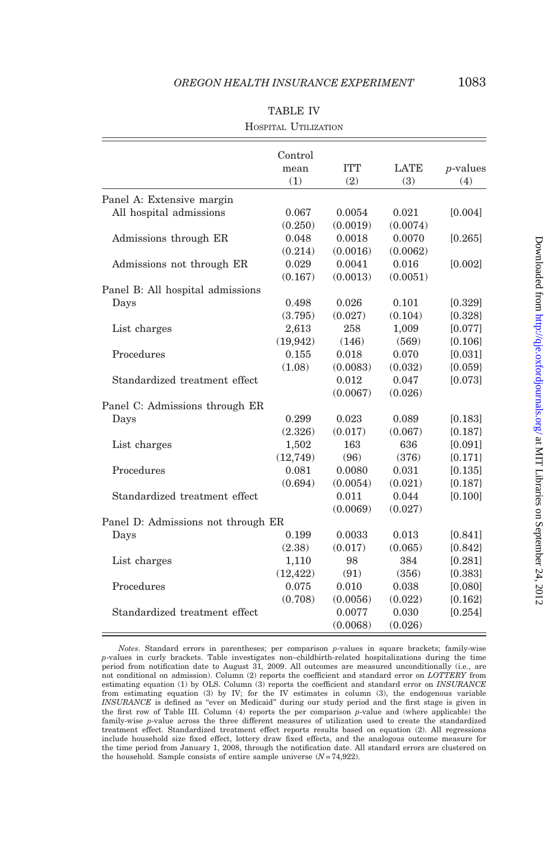<span id="page-26-0"></span>

|                                    | Control   |            |          |             |
|------------------------------------|-----------|------------|----------|-------------|
|                                    | mean      | <b>ITT</b> | LATE     | $p$ -values |
|                                    | (1)       | (2)        | (3)      | (4)         |
| Panel A: Extensive margin          |           |            |          |             |
| All hospital admissions            | 0.067     | 0.0054     | 0.021    | [0.004]     |
|                                    | (0.250)   | (0.0019)   | (0.0074) |             |
| Admissions through ER              | 0.048     | 0.0018     | 0.0070   | [0.265]     |
|                                    | (0.214)   | (0.0016)   | (0.0062) |             |
| Admissions not through ER          | 0.029     | 0.0041     | 0.016    | [0.002]     |
|                                    | (0.167)   | (0.0013)   | (0.0051) |             |
| Panel B: All hospital admissions   |           |            |          |             |
| Days                               | 0.498     | 0.026      | 0.101    | [0.329]     |
|                                    | (3.795)   | (0.027)    | (0.104)  | ${0.328}$   |
| List charges                       | 2,613     | 258        | 1,009    | [0.077]     |
|                                    | (19,942)  | (146)      | (569)    | ${0.106}$   |
| Procedures                         | 0.155     | 0.018      | 0.070    | [0.031]     |
|                                    | (1.08)    | (0.0083)   | (0.032)  | ${0.059}$   |
| Standardized treatment effect      |           | 0.012      | 0.047    | [0.073]     |
|                                    |           | (0.0067)   | (0.026)  |             |
| Panel C: Admissions through ER     |           |            |          |             |
| Days                               | 0.299     | 0.023      | 0.089    | [0.183]     |
|                                    | (2.326)   | (0.017)    | (0.067)  | ${0.187}$   |
| List charges                       | 1,502     | 163        | 636      | [0.091]     |
|                                    | (12,749)  | (96)       | (376)    | ${0.171}$   |
| Procedures                         | 0.081     | 0.0080     | 0.031    | [0.135]     |
|                                    | (0.694)   | (0.0054)   | (0.021)  | ${0.187}$   |
| Standardized treatment effect      |           | 0.011      | 0.044    | [0.100]     |
|                                    |           | (0.0069)   | (0.027)  |             |
| Panel D: Admissions not through ER |           |            |          |             |
| Days                               | 0.199     | 0.0033     | 0.013    | [0.841]     |
|                                    | (2.38)    | (0.017)    | (0.065)  | ${0.842}$   |
| List charges                       | 1,110     | 98         | 384      | [0.281]     |
|                                    | (12, 422) | (91)       | (356)    | ${0.383}$   |
| Procedures                         | 0.075     | 0.010      | 0.038    | [0.080]     |
|                                    | (0.708)   | (0.0056)   | (0.022)  | ${0.162}$   |
| Standardized treatment effect      |           | 0.0077     | 0.030    | [0.254]     |
|                                    |           | (0.0068)   | (0.026)  |             |

|--|--|

Notes. Standard errors in parentheses; per comparison p-values in square brackets; family-wise p-values in curly brackets. Table investigates non–childbirth-related hospitalizations during the time period from notification date to August 31, 2009. All outcomes are measured unconditionally (i.e., are not conditional on admission). Column (2) reports the coefficient and standard error on LOTTERY from estimating equation (1) by OLS. Column (3) reports the coefficient and standard error on INSURANCE from estimating equation (3) by IV; for the IV estimates in column (3), the endogenous variable INSURANCE is defined as ''ever on Medicaid'' during our study period and the first stage is given in the first row of [Table III.](#page-22-0) Column (4) reports the per comparison p-value and (where applicable) the family-wise p-value across the three different measures of utilization used to create the standardized treatment effect. Standardized treatment effect reports results based on equation (2). All regressions include household size fixed effect, lottery draw fixed effects, and the analogous outcome measure for the time period from January 1, 2008, through the notification date. All standard errors are clustered on the household. Sample consists of entire sample universe  $(N = 74,922)$ .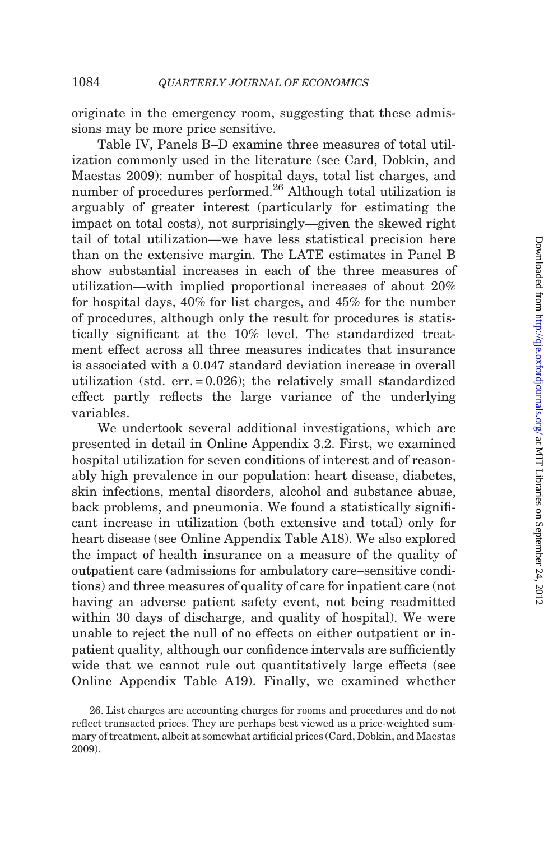originate in the emergency room, suggesting that these admissions may be more price sensitive.

[Table IV,](#page-26-0) Panels B–D examine three measures of total utilization commonly used in the literature (see [Card, Dobkin, and](#page-47-0) [Maestas 2009\)](#page-47-0): number of hospital days, total list charges, and number of procedures performed.<sup>26</sup> Although total utilization is arguably of greater interest (particularly for estimating the impact on total costs), not surprisingly—given the skewed right tail of total utilization—we have less statistical precision here than on the extensive margin. The LATE estimates in Panel B show substantial increases in each of the three measures of utilization—with implied proportional increases of about 20% for hospital days, 40% for list charges, and 45% for the number of procedures, although only the result for procedures is statistically significant at the 10% level. The standardized treatment effect across all three measures indicates that insurance is associated with a 0.047 standard deviation increase in overall utilization (std. err. = 0.026); the relatively small standardized effect partly reflects the large variance of the underlying variables.

We undertook several additional investigations, which are presented in detail in Online Appendix 3.2. First, we examined hospital utilization for seven conditions of interest and of reasonably high prevalence in our population: heart disease, diabetes, skin infections, mental disorders, alcohol and substance abuse, back problems, and pneumonia. We found a statistically significant increase in utilization (both extensive and total) only for heart disease (see Online Appendix Table A18). We also explored the impact of health insurance on a measure of the quality of outpatient care (admissions for ambulatory care–sensitive conditions) and three measures of quality of care for inpatient care (not having an adverse patient safety event, not being readmitted within 30 days of discharge, and quality of hospital). We were unable to reject the null of no effects on either outpatient or inpatient quality, although our confidence intervals are sufficiently wide that we cannot rule out quantitatively large effects (see Online Appendix Table A19). Finally, we examined whether

<sup>26.</sup> List charges are accounting charges for rooms and procedures and do not reflect transacted prices. They are perhaps best viewed as a price-weighted summary of treatment, albeit at somewhat artificial prices ([Card, Dobkin, and Maestas](#page-47-0) [2009\)](#page-47-0).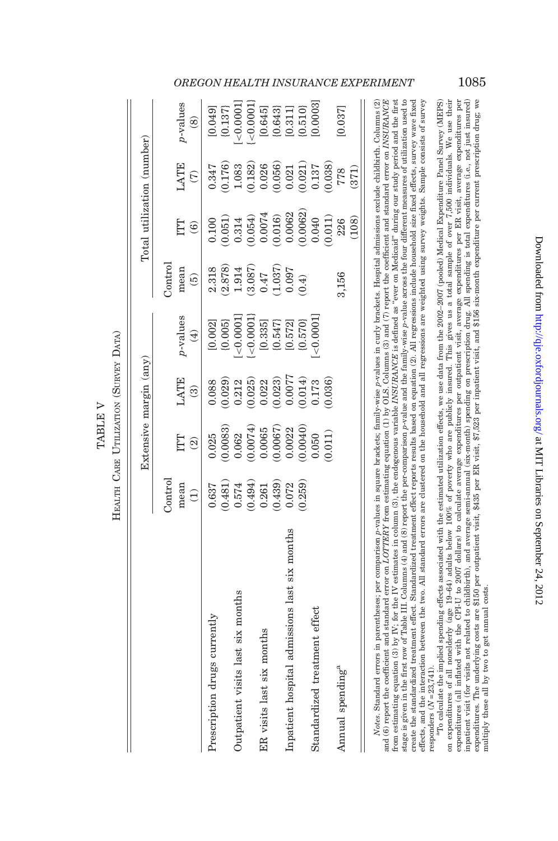|         | DATA                     |
|---------|--------------------------|
|         |                          |
| TABLE V | CARE UTILIZATION (SURVEY |
|         |                          |
|         | НЕАІЛН                   |

<span id="page-28-0"></span>

|                                               |                                                                     | Extensive margin (any)                                                 |                                                                                                                        |                                                                                                                                                                                                                                                                                                                                                                                  |                                                                                                       | Total utilization (number)                                                                            |                                                           |                                                                                                                       |
|-----------------------------------------------|---------------------------------------------------------------------|------------------------------------------------------------------------|------------------------------------------------------------------------------------------------------------------------|----------------------------------------------------------------------------------------------------------------------------------------------------------------------------------------------------------------------------------------------------------------------------------------------------------------------------------------------------------------------------------|-------------------------------------------------------------------------------------------------------|-------------------------------------------------------------------------------------------------------|-----------------------------------------------------------|-----------------------------------------------------------------------------------------------------------------------|
|                                               | Control                                                             |                                                                        |                                                                                                                        |                                                                                                                                                                                                                                                                                                                                                                                  | Control                                                                                               |                                                                                                       |                                                           |                                                                                                                       |
|                                               | mean                                                                | ITT                                                                    | LATE                                                                                                                   | p-values                                                                                                                                                                                                                                                                                                                                                                         | mean                                                                                                  | ĽЦ                                                                                                    | LATE                                                      | $p$ -values                                                                                                           |
|                                               | $\widehat{\Xi}$                                                     | $\widehat{\mathfrak{D}}$                                               | $\widehat{\mathcal{O}}$                                                                                                | $\bigoplus$                                                                                                                                                                                                                                                                                                                                                                      | $\widehat{\mathbf{e}}$                                                                                | $\widehat{\mathbf{e}}$                                                                                | $\widehat{C}$                                             | $\circledS$                                                                                                           |
| Prescription drugs currently                  | 0.637                                                               | 0.025                                                                  | 0.088                                                                                                                  |                                                                                                                                                                                                                                                                                                                                                                                  | 2.318                                                                                                 | 0.100                                                                                                 | 0.347                                                     | [0.049]                                                                                                               |
|                                               |                                                                     |                                                                        |                                                                                                                        |                                                                                                                                                                                                                                                                                                                                                                                  |                                                                                                       |                                                                                                       |                                                           |                                                                                                                       |
| Outpatient visits last six months             | $\begin{array}{c} (0.481) \\ 0.574 \\ (0.494) \\ 0.261 \end{array}$ | $\begin{array}{c} (0.0083) \\ 0.062 \\ (0.0074) \\ 0.0065 \end{array}$ | $\begin{array}{c} (0.029) \\ 0.212 \\ 0.025) \\ (0.025) \\ 0.022 \\ (0.023) \\ 0.0077 \\ (0.014) \\ 0.173 \end{array}$ | $[0.002] \atop [0.006] \hline \atop [-0.0001] \hline \atop [-0.0001] \hline \atop [-0.001] \hline \atop [-0.001] \hline \atop [-0.001] \hline \atop [-0.001] \hline \atop [-0.001] \hline \atop [-0.001] \hline \atop [-0.001] \hline \atop [-0.001] \hline \atop [-0.001] \hline \atop [-0.001] \hline \atop [-0.001] \hline \atop [-0.001] \hline \atop [-0.001] \hline \atop$ | $\begin{array}{l} (2.878) \\ 1.914 \\ (3.087) \\ 0.47 \\ (1.037) \\ (1.037) \\ (0.097 \\ \end{array}$ | $\begin{array}{c} (0.051) \\ 0.314 \\ (0.054) \\ 0.0074 \\ (0.016) \\ 0.0062 \\ (0.0062) \end{array}$ | $\begin{array}{c} (0.176) \\ 1.083 \\ 0.182) \end{array}$ | $[0.137] \\ [-20.0001] \\ [-20.0001] \\ [-60.0001] \\ [0.645] \\ [0.643] \\ [0.510] \\ [0.510] \\ [0.003] \\ [0.003]$ |
|                                               |                                                                     |                                                                        |                                                                                                                        |                                                                                                                                                                                                                                                                                                                                                                                  |                                                                                                       |                                                                                                       |                                                           |                                                                                                                       |
| ER visits last six months                     |                                                                     |                                                                        |                                                                                                                        |                                                                                                                                                                                                                                                                                                                                                                                  |                                                                                                       |                                                                                                       | $0.026$<br>$(0.056)$                                      |                                                                                                                       |
|                                               | 0.439)                                                              |                                                                        |                                                                                                                        |                                                                                                                                                                                                                                                                                                                                                                                  |                                                                                                       |                                                                                                       |                                                           |                                                                                                                       |
| Inpatient hospital admissions last six months | 0.072                                                               | $(0.0067)$<br>$0.0022$                                                 |                                                                                                                        |                                                                                                                                                                                                                                                                                                                                                                                  |                                                                                                       |                                                                                                       | $\begin{array}{c} 0.021 \\ 0.021) \\ 0.137 \end{array}$   |                                                                                                                       |
|                                               | 0.259)                                                              | (0.0040)                                                               |                                                                                                                        |                                                                                                                                                                                                                                                                                                                                                                                  |                                                                                                       |                                                                                                       |                                                           |                                                                                                                       |
| Standardized treatment effect                 |                                                                     | 0.50                                                                   |                                                                                                                        | < 0.0001                                                                                                                                                                                                                                                                                                                                                                         |                                                                                                       | 0.040                                                                                                 |                                                           |                                                                                                                       |
|                                               |                                                                     | 0.011)                                                                 | (0.036)                                                                                                                |                                                                                                                                                                                                                                                                                                                                                                                  |                                                                                                       | 0.011)                                                                                                | 0.038)                                                    |                                                                                                                       |
| Annual spending <sup>a</sup>                  |                                                                     |                                                                        |                                                                                                                        |                                                                                                                                                                                                                                                                                                                                                                                  | 3,156                                                                                                 | 226                                                                                                   | 778                                                       | 0.037                                                                                                                 |
|                                               |                                                                     |                                                                        |                                                                                                                        |                                                                                                                                                                                                                                                                                                                                                                                  |                                                                                                       | (108)                                                                                                 | (371)                                                     |                                                                                                                       |
|                                               |                                                                     |                                                                        |                                                                                                                        |                                                                                                                                                                                                                                                                                                                                                                                  |                                                                                                       |                                                                                                       |                                                           | $\tilde{\mathbf{c}}$                                                                                                  |

stage is given in the first row of Table III. Columns (4) and (8) report the per-comparison p-value and the family-wise p-value across the four different measures of utilization used to Notes. Standard errors in parentheses; per comparison p-values in square brackets; family-wise p-values in curly brackets. Hospital admissions exclude childbirth. Columns (2) and (6) report the coefficient and standard error on  $LOTTERY$  from estimating equation (1) by OLS. Columns (3) and (7) report the coefficient and standard error on INSURANCE from estimating equation (3) by IV; for the IV estimates in column (3), the endogenous variable INSURANCE is defined as "ever on Medicaid" during our study period and the first create the standardized treatment effect. Standardized treatment effect reports results based on equation (2). All regressions include household size fixed effects, survey wave fixed effects, and the interaction between the two. All standard errors are clustered on the household and all regressions are weighted using survey weights. Sample consists of survey Notes. Standard errors in parentheses; per comparison p-values in square brackets; family-wise p-values in curly brackets. Hospital admissions exclude childbirth. Columns (2) and (6) report the coefficient and standard error on LOTTERY from estimating equation (1) by OLS. Columns (3) and (7) report the coefficient and standard error on INSURANCE from estimating equation (3) by IV; for the IV estimates in column (3), the endogenous variable INSURANCE is defined as ''ever on Medicaid'' during our study period and the first stage is given in the first row of [Table](#page-22-0) III. Columns (4) and (8) report the per-comparison p-value and the family-wise p-value across the four different measures of utilization used to create the standardized treatment effect. Standardized treatment effect reports results based on equation (2). All regressions include household size fixed effects, survey wave fixed effects, and the interaction between the two. All standard errors are clustered on the household and all regressions are weighted using survey weights. Sample consists of survey responders  $(N=23,741)$ . responders  $(N = 23,741)$ .

## OREGON HEALTH INSURANCE EXPERIMENT 1085

inpatient visit (for visits not related to childbirth), and average semi-annual (six-month) spending on prescription drug. All spending is total expenditures (i.e., not just insurred)<br>expenditures. The underlying costs are "To calculate the implied spending effects associated with the estimated utilization effects, we use data from the 2002–2007 (pooled) Medical Expenditure Panel Survey (MEPS) on expenditures of all nonelderly (age 19-64) adults below 100% of poverty who are publicly insured. This gives us a total sample of over 7,500 individuals. We use their expenditures (all inflated with the CPL-U to 2007 dollars) to calculate average expenditures per outpatient visit, average expenditures per ER visit, average expenditures per  $^{47}$ O calculate the implied spending effects associated with the estimated utilization effects, we use data from the 2002–2007 (pooled) Medical Expenditure Panel Survey (MEPS) on expenditures of all nonelderly (age 19–64) adults below 100% of poverty who are publicly insured. This gives us a total sample of over 7,500 individuals. We use their expenditures (all inflated with the CPI-U to 2007 dollars) to calculate average expenditures per outpatient visit, average expenditures per ER visit, average expenditures per inpatient visit (for visits not related to childbirth), and average semi-annual (six-month) spending on prescription drug. All spending is total expenditures (i.e., not just insured) expenditures. The underlying costs are \$150 per outpatient visit, \$435 per ER visit, \$7,523 per inpatient visit, and \$156 six-month expenditure per current prescription drug; we multiply these all by two to get annual costs. multiply these all by two to get annual costs.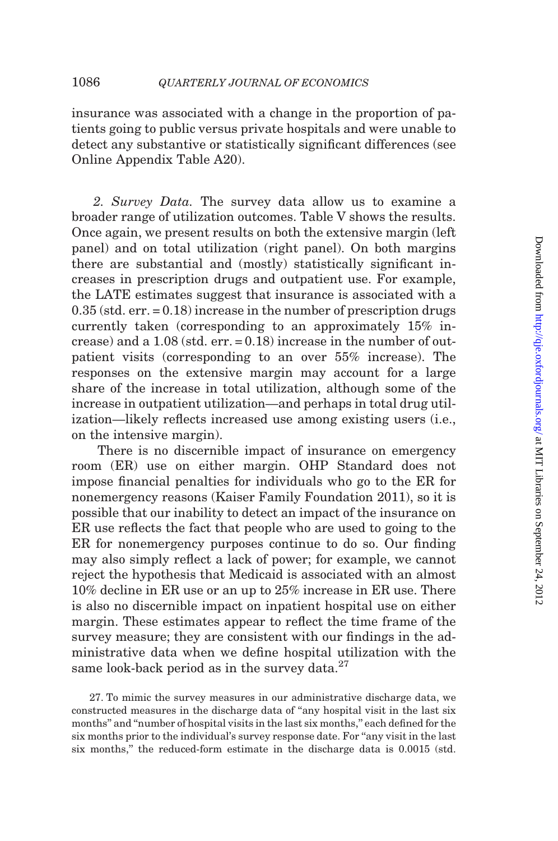insurance was associated with a change in the proportion of patients going to public versus private hospitals and were unable to detect any substantive or statistically significant differences (see Online Appendix Table A20).

2. Survey Data. The survey data allow us to examine a broader range of utilization outcomes. [Table V](#page-28-0) shows the results. Once again, we present results on both the extensive margin (left panel) and on total utilization (right panel). On both margins there are substantial and (mostly) statistically significant increases in prescription drugs and outpatient use. For example, the LATE estimates suggest that insurance is associated with a 0.35 (std. err. = 0.18) increase in the number of prescription drugs currently taken (corresponding to an approximately 15% increase) and a  $1.08$  (std. err.  $= 0.18$ ) increase in the number of outpatient visits (corresponding to an over 55% increase). The responses on the extensive margin may account for a large share of the increase in total utilization, although some of the increase in outpatient utilization—and perhaps in total drug utilization—likely reflects increased use among existing users (i.e., on the intensive margin).

There is no discernible impact of insurance on emergency room (ER) use on either margin. OHP Standard does not impose financial penalties for individuals who go to the ER for nonemergency reasons ([Kaiser Family Foundation 2011](#page-48-0)), so it is possible that our inability to detect an impact of the insurance on ER use reflects the fact that people who are used to going to the ER for nonemergency purposes continue to do so. Our finding may also simply reflect a lack of power; for example, we cannot reject the hypothesis that Medicaid is associated with an almost 10% decline in ER use or an up to 25% increase in ER use. There is also no discernible impact on inpatient hospital use on either margin. These estimates appear to reflect the time frame of the survey measure; they are consistent with our findings in the administrative data when we define hospital utilization with the same look-back period as in the survey data. $27$ 

27. To mimic the survey measures in our administrative discharge data, we constructed measures in the discharge data of ''any hospital visit in the last six months'' and ''number of hospital visits in the last six months,'' each defined for the six months prior to the individual's survey response date. For ''any visit in the last six months,'' the reduced-form estimate in the discharge data is 0.0015 (std.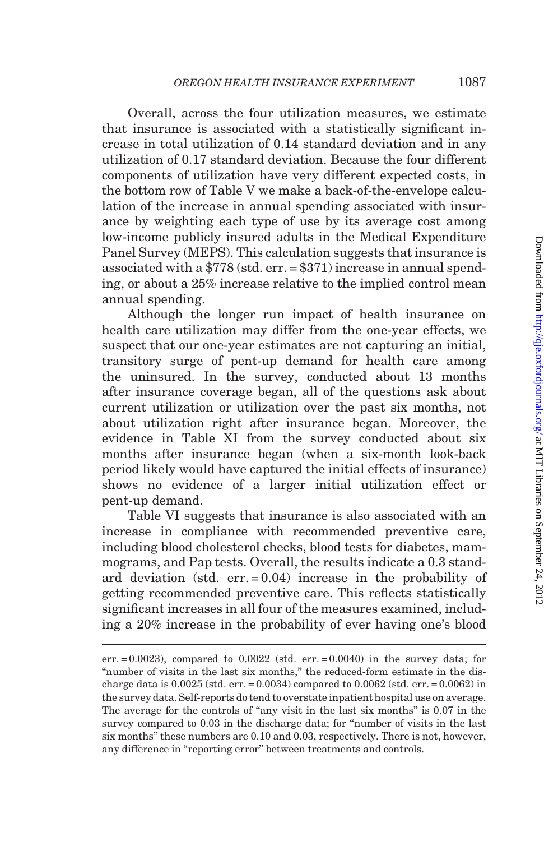Overall, across the four utilization measures, we estimate that insurance is associated with a statistically significant increase in total utilization of 0.14 standard deviation and in any utilization of 0.17 standard deviation. Because the four different components of utilization have very different expected costs, in the bottom row of [Table V](#page-28-0) we make a back-of-the-envelope calculation of the increase in annual spending associated with insurance by weighting each type of use by its average cost among low-income publicly insured adults in the Medical Expenditure Panel Survey (MEPS). This calculation suggests that insurance is associated with a \$778 (std. err. = \$371) increase in annual spending, or about a 25% increase relative to the implied control mean annual spending.

Although the longer run impact of health insurance on health care utilization may differ from the one-year effects, we suspect that our one-year estimates are not capturing an initial, transitory surge of pent-up demand for health care among the uninsured. In the survey, conducted about 13 months after insurance coverage began, all of the questions ask about current utilization or utilization over the past six months, not about utilization right after insurance began. Moreover, the evidence in [Table XI](#page-41-0) from the survey conducted about six months after insurance began (when a six-month look-back period likely would have captured the initial effects of insurance) shows no evidence of a larger initial utilization effect or pent-up demand.

[Table VI](#page-31-0) suggests that insurance is also associated with an increase in compliance with recommended preventive care, including blood cholesterol checks, blood tests for diabetes, mammograms, and Pap tests. Overall, the results indicate a 0.3 standard deviation (std. err. = 0.04) increase in the probability of getting recommended preventive care. This reflects statistically significant increases in all four of the measures examined, including a 20% increase in the probability of ever having one's blood

err.  $= 0.0023$ ), compared to  $0.0022$  (std. err.  $= 0.0040$ ) in the survey data; for ''number of visits in the last six months,'' the reduced-form estimate in the discharge data is  $0.0025$  (std. err. =  $0.0034$ ) compared to  $0.0062$  (std. err. =  $0.0062$ ) in the survey data. Self-reports do tend to overstate inpatient hospital use on average. The average for the controls of "any visit in the last six months" is 0.07 in the survey compared to 0.03 in the discharge data; for "number of visits in the last six months'' these numbers are 0.10 and 0.03, respectively. There is not, however, any difference in "reporting error" between treatments and controls.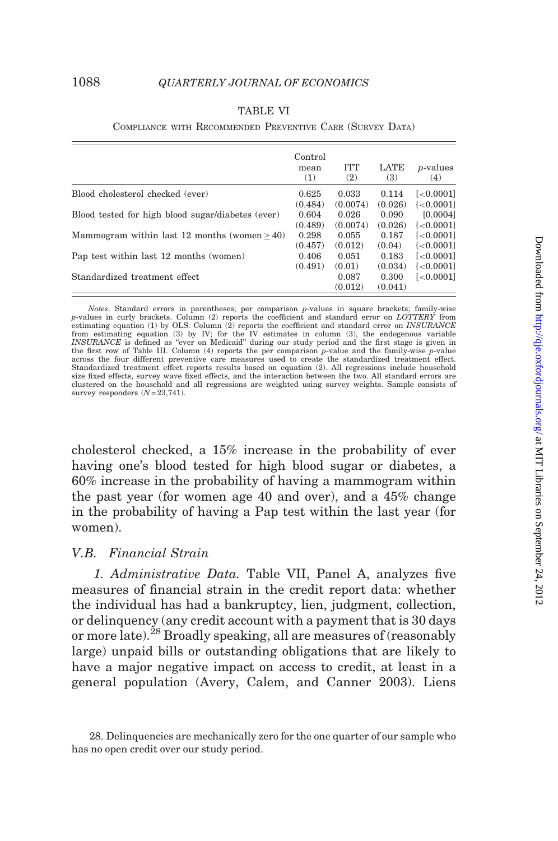| TABLE |  |
|-------|--|
|-------|--|

#### COMPLIANCE WITH RECOMMENDED PREVENTIVE CARE (SURVEY DATA)

<span id="page-31-0"></span>

|                                                   | Control<br>mean<br>(1) | <b>ITT</b><br>(2) | LATE<br>(3) | <i>p</i> -values<br>(4)   |
|---------------------------------------------------|------------------------|-------------------|-------------|---------------------------|
| Blood cholesterol checked (ever)                  | 0.625                  | 0.033             | 0.114       | $\left[ < 0.0001 \right]$ |
|                                                   | (0.484)                | (0.0074)          | (0.026)     | $\{<0.0001\}$             |
| Blood tested for high blood sugar/diabetes (ever) | 0.604                  | 0.026             | 0.090       | [0.0004]                  |
|                                                   | (0.489)                | (0.0074)          | (0.026)     | $\{<0.0001\}$             |
| Mammogram within last 12 months (women $>40$ )    | 0.298                  | 0.055             | 0.187       | $\left[ < 0.0001 \right]$ |
|                                                   | (0.457)                | (0.012)           | (0.04)      | $\{<0.0001\}$             |
| Pap test within last 12 months (women)            | 0.406                  | 0.051             | 0.183       | $\left[ < 0.0001 \right]$ |
|                                                   | (0.491)                | (0.01)            | (0.034)     | $\{<0.0001\}$             |
| Standardized treatment effect                     |                        | 0.087             | 0.300       | $\left[ < 0.0001 \right]$ |
|                                                   |                        | (0.012)           | (0.041)     |                           |

Notes. Standard errors in parentheses; per comparison p-values in square brackets; family-wise p-values in curly brackets. Column (2) reports the coefficient and standard error on LOTTERY from estimating equation (1) by OLS. Column  $(2)$  reports the coefficient and standard error on INSURANCE from estimating equation (3) by IV; for the IV estimates in column (3), the endogenous variable<br>INSURANCE is defined as "ever on Medicaid" during our study period and the first stage is given in the first row of [Table III](#page-22-0). Column (4) reports the per comparison  $p$ -value and the family-wise  $p$ -value across the four different preventive care measures used to create the standardized treatment effect. Standardized treatment effect reports results based on equation (2). All regressions include household size fixed effects, survey wave fixed effects, and the interaction between the two. All standard errors are clustered on the household and all regressions are weighted using survey weights. Sample consists of survey responders  $(N=23,741)$ .

cholesterol checked, a 15% increase in the probability of ever having one's blood tested for high blood sugar or diabetes, a 60% increase in the probability of having a mammogram within the past year (for women age 40 and over), and a 45% change in the probability of having a Pap test within the last year (for women).

### V.B. Financial Strain

1. Administrative Data. [Table VII,](#page-32-0) Panel A, analyzes five measures of financial strain in the credit report data: whether the individual has had a bankruptcy, lien, judgment, collection, or delinquency (any credit account with a payment that is 30 days or more late).<sup>28</sup> Broadly speaking, all are measures of (reasonably large) unpaid bills or outstanding obligations that are likely to have a major negative impact on access to credit, at least in a general population [\(Avery, Calem, and Canner 2003\)](#page-47-0). Liens

<sup>28.</sup> Delinquencies are mechanically zero for the one quarter of our sample who has no open credit over our study period.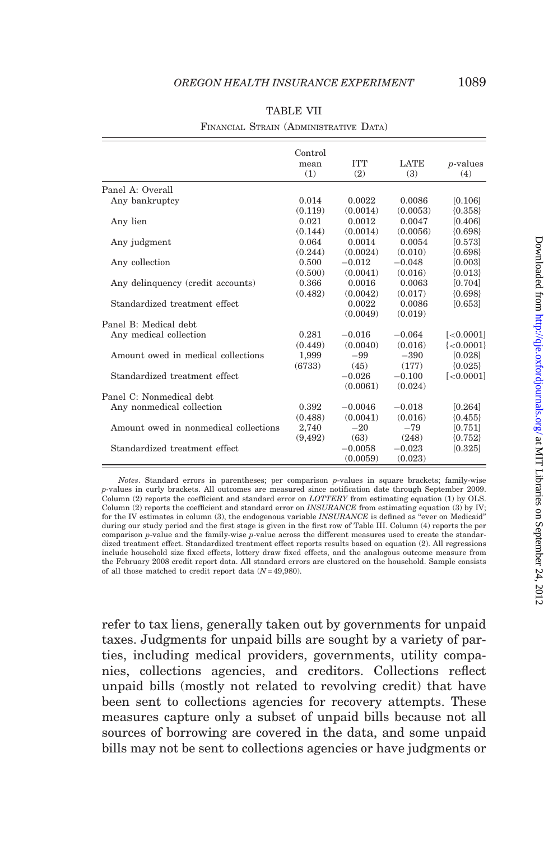<span id="page-32-0"></span>

|                                       | Control<br>mean<br>(1) | <b>TTT</b><br>(2)     | <b>LATE</b><br>(3)  | $p$ -values<br>(4)        |
|---------------------------------------|------------------------|-----------------------|---------------------|---------------------------|
| Panel A: Overall                      |                        |                       |                     |                           |
| Any bankruptcy                        | 0.014                  | 0.0022                | 0.0086              | [0.106]                   |
|                                       | (0.119)                | (0.0014)              | (0.0053)            | ${0.358}$                 |
| Any lien                              | 0.021                  | 0.0012                | 0.0047              | [0.406]                   |
|                                       | (0.144)                | (0.0014)              | (0.0056)            | ${0.698}$                 |
| Any judgment                          | 0.064                  | 0.0014                | 0.0054              | [0.573]                   |
|                                       | (0.244)                | (0.0024)              | (0.010)             | ${0.698}$                 |
| Any collection                        | 0.500                  | $-0.012$              | $-0.048$            | [0.003]                   |
|                                       | (0.500)                | (0.0041)              | (0.016)             | ${0.013}$                 |
| Any delinquency (credit accounts)     | 0.366                  | 0.0016                | 0.0063              | [0.704]                   |
|                                       | (0.482)                | (0.0042)              | (0.017)             | ${0.698}$                 |
| Standardized treatment effect         |                        | 0.0022<br>(0.0049)    | 0.0086<br>(0.019)   | [0.653]                   |
| Panel B: Medical debt.                |                        |                       |                     |                           |
| Any medical collection                | 0.281                  | $-0.016$              | $-0.064$            | $\left[ < 0.0001 \right]$ |
|                                       | (0.449)                | (0.0040)              | (0.016)             | $\{<0.0001\}$             |
| Amount owed in medical collections    | 1,999                  | $-99$                 | $-390$              | [0.028]                   |
|                                       | (6733)                 | (45)                  | (177)               | ${0.025}$                 |
| Standardized treatment effect         |                        | $-0.026$<br>(0.0061)  | $-0.100$<br>(0.024) | $[-0.0001]$               |
| Panel C: Nonmedical debt.             |                        |                       |                     |                           |
| Any nonmedical collection             | 0.392                  | $-0.0046$             | $-0.018$            | [0.264]                   |
|                                       | (0.488)                | (0.0041)              | (0.016)             | ${0.455}$                 |
| Amount owed in nonmedical collections | 2,740                  | $-20$                 | $-79$               | [0.751]                   |
|                                       | (9, 492)               | (63)                  | (248)               | ${0.752}$                 |
| Standardized treatment effect         |                        | $-0.0058$<br>(0.0059) | $-0.023$<br>(0.023) | [0.325]                   |

## TABLE VII

#### FINANCIAL STRAIN (ADMINISTRATIVE DATA)

Notes. Standard errors in parentheses; per comparison p-values in square brackets; family-wise p-values in curly brackets. All outcomes are measured since notification date through September 2009. Column (2) reports the coefficient and standard error on LOTTERY from estimating equation (1) by OLS. Column (2) reports the coefficient and standard error on *INSURANCE* from estimating equation (3) by IV; for the IV estimates in column (3), the endogenous variable INSURANCE is defined as "ever on Medicaid" during our study period and the first stage is given in the first row of [Table III.](#page-22-0) Column (4) reports the per comparison p-value and the family-wise p-value across the different measures used to create the standardized treatment effect. Standardized treatment effect reports results based on equation (2). All regressions include household size fixed effects, lottery draw fixed effects, and the analogous outcome measure from the February 2008 credit report data. All standard errors are clustered on the household. Sample consists of all those matched to credit report data  $(N=49,980)$ .

refer to tax liens, generally taken out by governments for unpaid taxes. Judgments for unpaid bills are sought by a variety of parties, including medical providers, governments, utility companies, collections agencies, and creditors. Collections reflect unpaid bills (mostly not related to revolving credit) that have been sent to collections agencies for recovery attempts. These measures capture only a subset of unpaid bills because not all sources of borrowing are covered in the data, and some unpaid bills may not be sent to collections agencies or have judgments or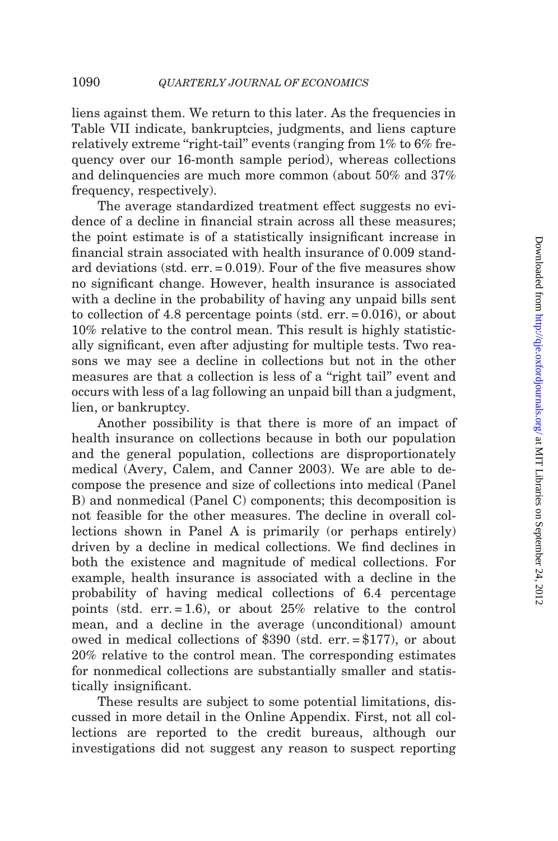liens against them. We return to this later. As the frequencies in [Table VII](#page-32-0) indicate, bankruptcies, judgments, and liens capture relatively extreme "right-tail" events (ranging from  $1\%$  to  $6\%$  frequency over our 16-month sample period), whereas collections and delinquencies are much more common (about 50% and 37% frequency, respectively).

The average standardized treatment effect suggests no evidence of a decline in financial strain across all these measures; the point estimate is of a statistically insignificant increase in financial strain associated with health insurance of 0.009 standard deviations (std. err. = 0.019). Four of the five measures show no significant change. However, health insurance is associated with a decline in the probability of having any unpaid bills sent to collection of 4.8 percentage points (std. err. = 0.016), or about 10% relative to the control mean. This result is highly statistically significant, even after adjusting for multiple tests. Two reasons we may see a decline in collections but not in the other measures are that a collection is less of a "right tail" event and occurs with less of a lag following an unpaid bill than a judgment, lien, or bankruptcy.

Another possibility is that there is more of an impact of health insurance on collections because in both our population and the general population, collections are disproportionately medical ([Avery, Calem, and Canner 2003\)](#page-47-0). We are able to decompose the presence and size of collections into medical (Panel B) and nonmedical (Panel C) components; this decomposition is not feasible for the other measures. The decline in overall collections shown in Panel A is primarily (or perhaps entirely) driven by a decline in medical collections. We find declines in both the existence and magnitude of medical collections. For example, health insurance is associated with a decline in the probability of having medical collections of 6.4 percentage points (std. err.  $= 1.6$ ), or about 25% relative to the control mean, and a decline in the average (unconditional) amount owed in medical collections of \$390 (std. err. = \$177), or about 20% relative to the control mean. The corresponding estimates for nonmedical collections are substantially smaller and statistically insignificant.

These results are subject to some potential limitations, discussed in more detail in the Online Appendix. First, not all collections are reported to the credit bureaus, although our investigations did not suggest any reason to suspect reporting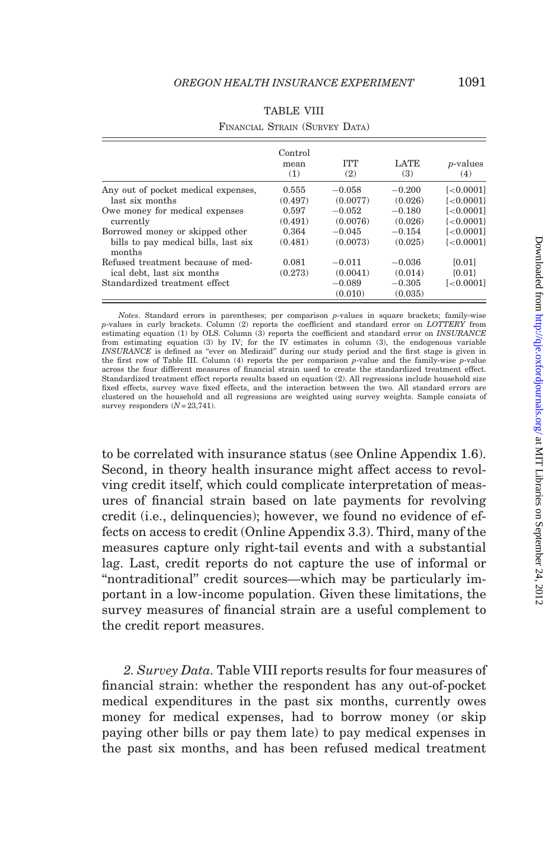|                                                | Control<br>mean<br>(1) | <b>TTT</b><br>(2) | <b>LATE</b><br>(3) | <i>p</i> -values<br>(4) |
|------------------------------------------------|------------------------|-------------------|--------------------|-------------------------|
| Any out of pocket medical expenses,            | 0.555                  | $-0.058$          | $-0.200$           | $[-0.0001]$             |
| last six months                                | (0.497)                | (0.0077)          | (0.026)            | $\{<0.0001\}$           |
| Owe money for medical expenses                 | 0.597                  | $-0.052$          | $-0.180$           | $[-0.0001]$             |
| currently                                      | (0.491)                | (0.0076)          | (0.026)            | $\{<0.0001\}$           |
| Borrowed money or skipped other                | 0.364                  | $-0.045$          | $-0.154$           | $[-0.0001]$             |
| bills to pay medical bills, last six<br>months | (0.481)                | (0.0073)          | (0.025)            | $\{<0.0001\}$           |
| Refused treatment because of med-              | 0.081                  | $-0.011$          | $-0.036$           | [0.01]                  |
| ical debt, last six months                     | (0.273)                | (0.0041)          | (0.014)            | ${0.01}$                |
| Standardized treatment effect                  |                        | $-0.089$          | $-0.305$           | $[-0.0001]$             |
|                                                |                        | (0.010)           | (0.035)            |                         |

### TABLE VIII

FINANCIAL STRAIN (SURVEY DATA)

Notes. Standard errors in parentheses; per comparison p-values in square brackets; family-wise p-values in curly brackets. Column (2) reports the coefficient and standard error on LOTTERY from estimating equation (1) by OLS. Column (3) reports the coefficient and standard error on INSURANCE from estimating equation (3) by IV; for the IV estimates in column (3), the endogenous variable INSURANCE is defined as ''ever on Medicaid'' during our study period and the first stage is given in the first row of [Table III](#page-22-0). Column (4) reports the per comparison p-value and the family-wise p-value across the four different measures of financial strain used to create the standardized treatment effect. Standardized treatment effect reports results based on equation (2). All regressions include household size fixed effects, survey wave fixed effects, and the interaction between the two. All standard errors are clustered on the household and all regressions are weighted using survey weights. Sample consists of survey responders  $(N=23,741)$ .

to be correlated with insurance status (see Online Appendix 1.6). Second, in theory health insurance might affect access to revolving credit itself, which could complicate interpretation of measures of financial strain based on late payments for revolving credit (i.e., delinquencies); however, we found no evidence of effects on access to credit (Online Appendix 3.3). Third, many of the measures capture only right-tail events and with a substantial lag. Last, credit reports do not capture the use of informal or ''nontraditional'' credit sources—which may be particularly important in a low-income population. Given these limitations, the survey measures of financial strain are a useful complement to the credit report measures.

2. Survey Data. Table VIII reports results for four measures of financial strain: whether the respondent has any out-of-pocket medical expenditures in the past six months, currently owes money for medical expenses, had to borrow money (or skip paying other bills or pay them late) to pay medical expenses in the past six months, and has been refused medical treatment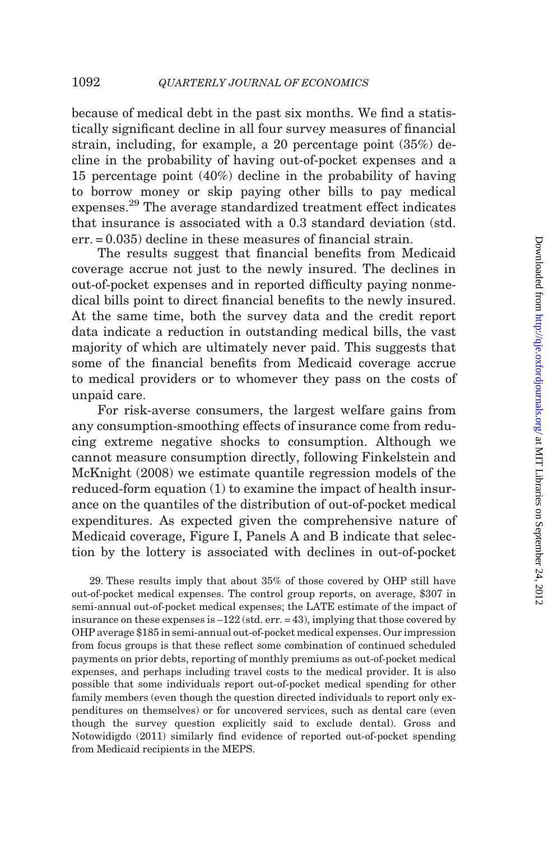because of medical debt in the past six months. We find a statistically significant decline in all four survey measures of financial strain, including, for example, a 20 percentage point (35%) decline in the probability of having out-of-pocket expenses and a 15 percentage point (40%) decline in the probability of having to borrow money or skip paying other bills to pay medical expenses.<sup>29</sup> The average standardized treatment effect indicates that insurance is associated with a 0.3 standard deviation (std. err. = 0.035) decline in these measures of financial strain.

The results suggest that financial benefits from Medicaid coverage accrue not just to the newly insured. The declines in out-of-pocket expenses and in reported difficulty paying nonmedical bills point to direct financial benefits to the newly insured. At the same time, both the survey data and the credit report data indicate a reduction in outstanding medical bills, the vast majority of which are ultimately never paid. This suggests that some of the financial benefits from Medicaid coverage accrue to medical providers or to whomever they pass on the costs of unpaid care.

For risk-averse consumers, the largest welfare gains from any consumption-smoothing effects of insurance come from reducing extreme negative shocks to consumption. Although we cannot measure consumption directly, following [Finkelstein and](#page-48-0) [McKnight \(2008\)](#page-48-0) we estimate quantile regression models of the reduced-form equation (1) to examine the impact of health insurance on the quantiles of the distribution of out-of-pocket medical expenditures. As expected given the comprehensive nature of Medicaid coverage, [Figure I](#page-36-0), Panels A and B indicate that selection by the lottery is associated with declines in out-of-pocket

29. These results imply that about 35% of those covered by OHP still have out-of-pocket medical expenses. The control group reports, on average, \$307 in semi-annual out-of-pocket medical expenses; the LATE estimate of the impact of insurance on these expenses is  $-122$  (std. err.  $= 43$ ), implying that those covered by OHP average \$185 in semi-annual out-of-pocket medical expenses. Our impression from focus groups is that these reflect some combination of continued scheduled payments on prior debts, reporting of monthly premiums as out-of-pocket medical expenses, and perhaps including travel costs to the medical provider. It is also possible that some individuals report out-of-pocket medical spending for other family members (even though the question directed individuals to report only expenditures on themselves) or for uncovered services, such as dental care (even though the survey question explicitly said to exclude dental). [Gross and](#page-48-0) [Notowidigdo \(2011\)](#page-48-0) similarly find evidence of reported out-of-pocket spending from Medicaid recipients in the MEPS.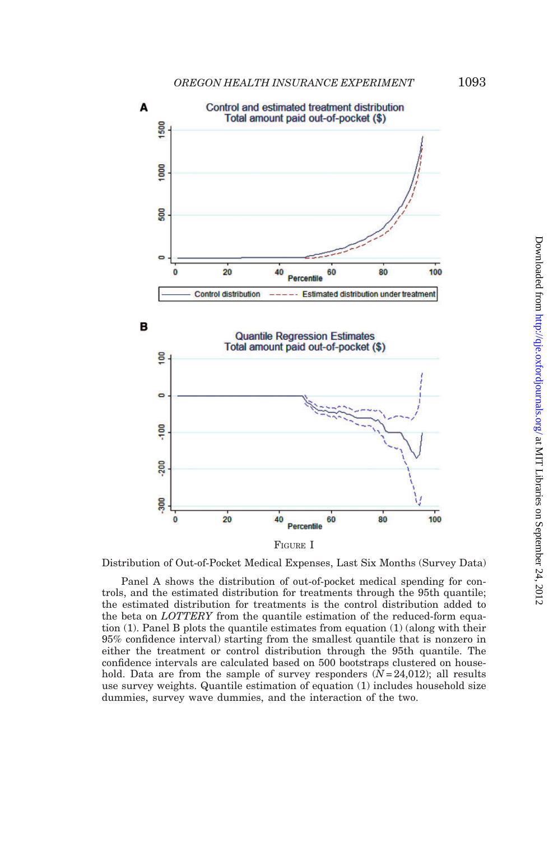<span id="page-36-0"></span>

FIGURE I

Distribution of Out-of-Pocket Medical Expenses, Last Six Months (Survey Data)

Panel A shows the distribution of out-of-pocket medical spending for controls, and the estimated distribution for treatments through the 95th quantile; the estimated distribution for treatments is the control distribution added to the beta on *LOTTERY* from the quantile estimation of the reduced-form equation (1). Panel B plots the quantile estimates from equation (1) (along with their 95% confidence interval) starting from the smallest quantile that is nonzero in either the treatment or control distribution through the 95th quantile. The confidence intervals are calculated based on 500 bootstraps clustered on household. Data are from the sample of survey responders  $(N=24,012)$ ; all results use survey weights. Quantile estimation of equation (1) includes household size dummies, survey wave dummies, and the interaction of the two.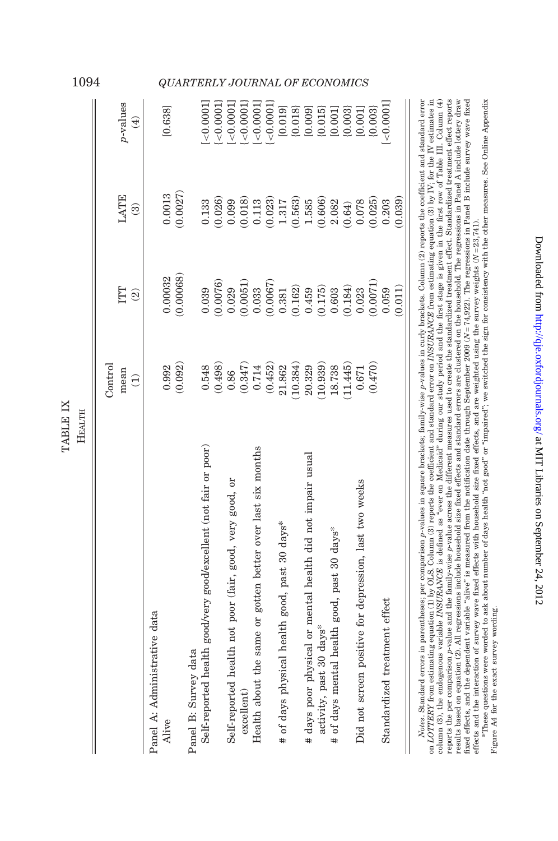| Нвалтн                                                           |           |                          |                          |                        |
|------------------------------------------------------------------|-----------|--------------------------|--------------------------|------------------------|
|                                                                  | Control   |                          |                          |                        |
|                                                                  | mean      | IШ                       | LATE                     | p-values               |
|                                                                  | $\ominus$ | $\widehat{\mathfrak{D}}$ | $\widehat{\mathfrak{B}}$ | $\bigoplus$            |
| Panel A: Administrative data                                     |           |                          |                          |                        |
| Alive                                                            | 0.992     | 0.00032                  | 0.0013                   | [0.638]                |
|                                                                  | (0.092)   | (0.00068)                | (0.0027)                 |                        |
| Panel B: Survey data                                             |           |                          |                          |                        |
| Self-reported health good/very good/excellent (not fair or poor) | 0.548     | 0.039                    | 0.133                    | < 0.0001               |
|                                                                  | (0.498)   | 0.0076                   | (0.026)                  | < 0.0001               |
| Self-reported health not poor (fair, good, very good, or         | 0.86      | 0.029                    | 0.099                    | < 0.0001               |
| $\alpha$ excellent                                               | (0.347)   | (0.0051)                 | (0.018)                  | < 0.0001               |
| Health about the same or gotten better over last six months      | 0.714     | 0.033                    | $\!0.113$                | < 0.0001               |
|                                                                  | (0.452)   | (0.0067)                 | (0.023)                  | < 0.0001               |
| # of days physical health good, past 30 days*                    | 21.862    | 0.381                    | $1.317$                  | [0.019]                |
|                                                                  | (10.384)  | (0.162)                  | (0.563)                  | $\{0.018\}$            |
| # days poor physical or mental health did not impair usual       | 20.329    | 0.459                    | 1.585                    | $[0.009]$<br>$[0.015]$ |
| activity, past 30 days*                                          | 10.939)   | $\frac{(0.175)}{0.603}$  | (0.606)                  |                        |
| # of days mental health good, past 30 days*                      | 18.738    |                          | 2.082                    | [0.001]                |
|                                                                  | 11.445)   | (0.184)                  | (0.64)                   | (0.003)                |
| Did not screen positive for depression, last two weeks           | 0.671     | 0.023                    | 0.078                    | [0.001]                |
|                                                                  | (0.470)   | (0.0071)                 | (0.025)                  | (0.003)                |
| Standardized treatment effect                                    |           | 0.059                    | 0.203                    | < 0.0001               |
|                                                                  |           | (0.011)                  | (0.039)                  |                        |
|                                                                  |           |                          |                          |                        |

on LOTTERY from estimating equation (1) by OLS. Column (3) reports the coefficient and standard error on INSURANCE from estimating equation (3) by IV, for the IV estimates in column (3), the endogenous variable INSURANCE is defined as "ever on Medicaid" during our study period and the first stage is given in the first row of Table III. Column (4) reports the per comparison p-value and the family-wise p-value across the different measures used to create the standardized treatment effect. Standardized treatment effect separts results based on equation (2). All regressions include household size fixed effects and standard errors are clustered on the household. The regressions in Panel A include lottery draw Notes. Standard errors in parentheses; per comparison p-values in square brackets; family-wise p-values in curly brackets. Column (2) reports the coefficient and standard error fixed effects, and the dependent variable "alive" is measured from the notification date through September 2009 ( $N = 74.922$ ). The regressions in Panel B include survey wave fixed Notes. Standard errors in parentheses; per comparison p-values in square brackets; family-wise p-values in curly brackets. Column (2) reports the coefficient and standard error on LOTTERY from estimating equation (1) by OLS. Column (3) reports the coefficient and standard error on INSURANCE from estimating equation (3) by IV; for the IV estimates in column (3), the endogenous variable INSURANCE is defined as ''ever on Medicaid'' during our study period and the first stage is given in the first row of [Table](#page-22-0) III. Column (4) reports the per comparison p-value and the family-wise p-value across the different measures used to create the standardized treatment effect. Standardized treatment effect reports results based on equation (2). All regressions include household size fixed effects and standard errors are clustered on the household. The regressions in Panel A include lottery draw fixed effects, and the dependent variable ''alive'' is measured from the notification date through September 2009 (N = 74,922). The regressions in Panel B include survey wave fixed effects and the interaction of survey wave fixed effects with household size fixed effects, and are weighted using the survey weights  $(N=23,741)$ . effects and the interaction of survey wave fixed effects with household size fixed effects, and are weighted using the survey weights  $(N = 23,741)$ .

"These questions were worded to ask about number of days health "not good" or "impaired"; we switched the sign for consistency with the other measures. See Online Appendix \*These questions were worded to ask about number of days health ''not good'' or ''impaired''; we switched the sign for consistency with the other measures. See Online Appendix Figure A4 for the exact survey wording. Figure A4 for the exact survey wording.

Downloaded from http://qje.oxfordjournals.org/ at MIT Libraries on September 24, 2012 Downloaded from <http://qje.oxfordjournals.org/> at MIT Libraries on September 24, 2012

TABLE IX

TABLE IX

## <span id="page-37-0"></span>1094 QUARTERLY JOURNAL OF ECONOMICS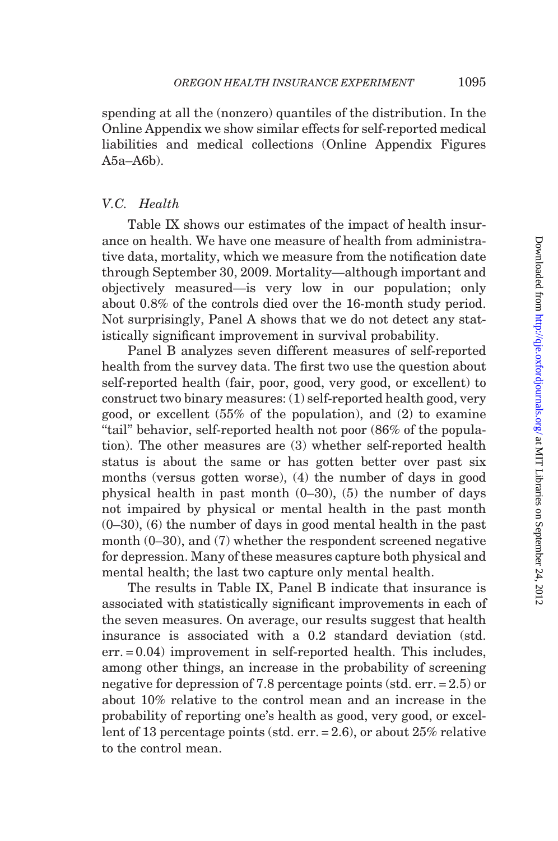<span id="page-38-0"></span>spending at all the (nonzero) quantiles of the distribution. In the Online Appendix we show similar effects for self-reported medical liabilities and medical collections (Online Appendix Figures A5a–A6b).

## V.C. Health

[Table IX](#page-37-0) shows our estimates of the impact of health insurance on health. We have one measure of health from administrative data, mortality, which we measure from the notification date through September 30, 2009. Mortality—although important and objectively measured—is very low in our population; only about 0.8% of the controls died over the 16-month study period. Not surprisingly, Panel A shows that we do not detect any statistically significant improvement in survival probability.

Panel B analyzes seven different measures of self-reported health from the survey data. The first two use the question about self-reported health (fair, poor, good, very good, or excellent) to construct two binary measures: (1) self-reported health good, very good, or excellent (55% of the population), and (2) to examine ''tail'' behavior, self-reported health not poor (86% of the population). The other measures are (3) whether self-reported health status is about the same or has gotten better over past six months (versus gotten worse), (4) the number of days in good physical health in past month (0–30), (5) the number of days not impaired by physical or mental health in the past month (0–30), (6) the number of days in good mental health in the past month (0–30), and (7) whether the respondent screened negative for depression. Many of these measures capture both physical and mental health; the last two capture only mental health.

The results in [Table IX](#page-37-0), Panel B indicate that insurance is associated with statistically significant improvements in each of the seven measures. On average, our results suggest that health insurance is associated with a 0.2 standard deviation (std. err. = 0.04) improvement in self-reported health. This includes, among other things, an increase in the probability of screening negative for depression of 7.8 percentage points (std. err. = 2.5) or about 10% relative to the control mean and an increase in the probability of reporting one's health as good, very good, or excellent of 13 percentage points (std. err. = 2.6), or about 25% relative to the control mean.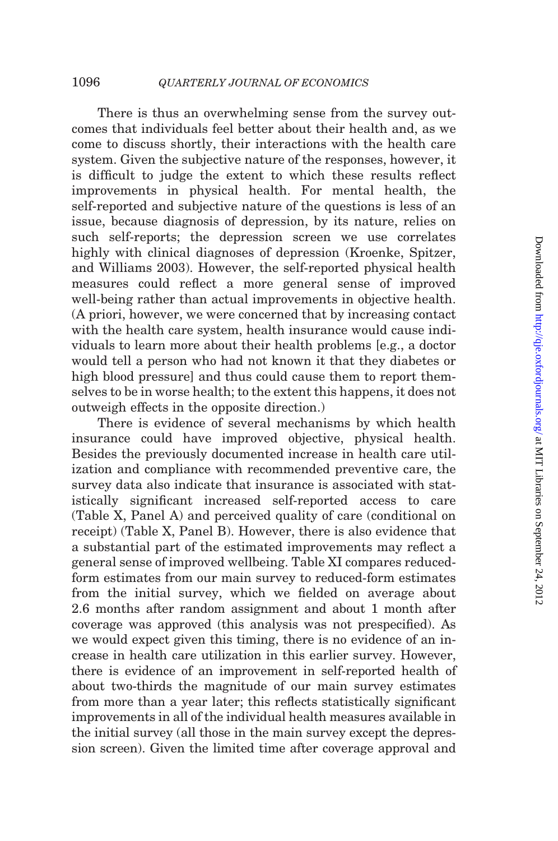There is thus an overwhelming sense from the survey outcomes that individuals feel better about their health and, as we come to discuss shortly, their interactions with the health care system. Given the subjective nature of the responses, however, it is difficult to judge the extent to which these results reflect improvements in physical health. For mental health, the self-reported and subjective nature of the questions is less of an issue, because diagnosis of depression, by its nature, relies on such self-reports; the depression screen we use correlates highly with clinical diagnoses of depression [\(Kroenke, Spitzer,](#page-48-0) [and Williams 2003](#page-48-0)). However, the self-reported physical health measures could reflect a more general sense of improved well-being rather than actual improvements in objective health. (A priori, however, we were concerned that by increasing contact with the health care system, health insurance would cause individuals to learn more about their health problems [e.g., a doctor would tell a person who had not known it that they diabetes or high blood pressurel and thus could cause them to report themselves to be in worse health; to the extent this happens, it does not outweigh effects in the opposite direction.)

There is evidence of several mechanisms by which health insurance could have improved objective, physical health. Besides the previously documented increase in health care utilization and compliance with recommended preventive care, the survey data also indicate that insurance is associated with statistically significant increased self-reported access to care ([Table X,](#page-40-0) Panel A) and perceived quality of care (conditional on receipt) ([Table X](#page-40-0), Panel B). However, there is also evidence that a substantial part of the estimated improvements may reflect a general sense of improved wellbeing. [Table XI](#page-41-0) compares reducedform estimates from our main survey to reduced-form estimates from the initial survey, which we fielded on average about 2.6 months after random assignment and about 1 month after coverage was approved (this analysis was not prespecified). As we would expect given this timing, there is no evidence of an increase in health care utilization in this earlier survey. However, there is evidence of an improvement in self-reported health of about two-thirds the magnitude of our main survey estimates from more than a year later; this reflects statistically significant improvements in all of the individual health measures available in the initial survey (all those in the main survey except the depression screen). Given the limited time after coverage approval and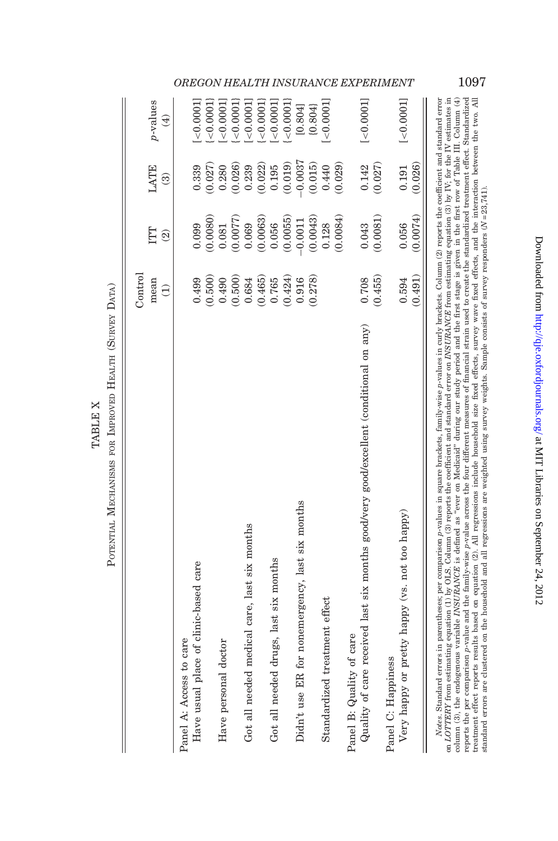|                | ì                 |
|----------------|-------------------|
|                | į,<br>AT TH       |
| TARI IT Y<br>1 |                   |
|                | FOR 1             |
|                | <b>ACTIVATION</b> |
|                |                   |

<span id="page-40-0"></span>

|                                                                                                                                                                                  | Control   |                          |                         |                  |
|----------------------------------------------------------------------------------------------------------------------------------------------------------------------------------|-----------|--------------------------|-------------------------|------------------|
|                                                                                                                                                                                  | mean      | ĽЦ                       | LATE                    | $p$ -values      |
|                                                                                                                                                                                  | $\ominus$ | $\widehat{\mathfrak{D}}$ | $\widehat{\mathcal{C}}$ | $\bigoplus$      |
| Panel A: Access to care                                                                                                                                                          |           |                          |                         |                  |
| Have usual place of clinic-based care                                                                                                                                            | 0.499     | 0.099                    | 0.339                   | (10001)          |
|                                                                                                                                                                                  | (0.500)   | 0.0080)                  | (0.027)                 | < 0.0001         |
| Have personal doctor                                                                                                                                                             | 0.490     | 0.081                    | 0.280                   | $< 0.0001$ ]     |
|                                                                                                                                                                                  | (0.500)   | (0.0077)                 | 0.026                   | < 0.0001         |
| Got all needed medical care, last six months                                                                                                                                     | 0.684     | 0.069                    | 0.239                   | < 0.0001         |
|                                                                                                                                                                                  | (0.465)   | (0.0063)                 | (0.022)                 | < 0.0001         |
| Got all needed drugs, last six months                                                                                                                                            | 0.765     | 0.056                    | 0.195                   | $< 0.0001$ ]     |
|                                                                                                                                                                                  | (0.424)   | (0.0055)                 | (0.019)                 | < 0.0001         |
| Didn't use ER for nonemergency, last six months                                                                                                                                  | 0.916     | $-0.0011$                | $-0.0037$               | [0.804]          |
|                                                                                                                                                                                  | (0.278)   | (0.0043)                 | (0.015)                 | (0.804)          |
| Standardized treatment effect                                                                                                                                                    |           | 0.128                    | 0.440                   | $< 0.0001$ ]     |
|                                                                                                                                                                                  |           | (0.0084)                 | (0.029)                 |                  |
| Panel B: Quality of care                                                                                                                                                         |           |                          |                         |                  |
| Quality of care received last six months good/very good/excellent (conditional on any)                                                                                           | 0.708     | 0.043                    | 0.142                   | $[-0.0001]$      |
|                                                                                                                                                                                  | (0.455)   | (0.0081)                 | (0.027)                 |                  |
| Panel C: Happiness                                                                                                                                                               |           |                          |                         |                  |
| Very happy or pretty happy (vs. not too happy)                                                                                                                                   | 0.594     | 0.056                    | 0.191                   | $[\times0.0001]$ |
|                                                                                                                                                                                  | (0.491)   | (0.0074)                 | (0.026)                 |                  |
| Notes. Standard errors in parentheses: per comparison p-values in square brackets. family-wise p-values in curly brackets. Column (2) reports the coefficient and standard error |           |                          |                         |                  |

on *LOTTERY* from estimating equation (1) by OLS. Column (3) reports the coefficient and standard error on *INSURANCE* from estimating equation (3) by IV; for the IV estimates in column (3), the endogenous variable *INSUR* reports the per comparison p-value and the family-wise p-value across the four different measures of financial strain used to create the standardized treatment effect. Standardized treatment effect reports results based on equation (2). All regressions include household size fixed effects, survey wave fixed effects, and the interaction between the two. All<br>standard errors are clustered on the househ Notes. Standard errors in parentheses; per comparison p-values in square brackets, family-wise p-values in curly brackets. Column (2) reports the coefficient and standard error on LOTTERY from estimating equation (1) by OLS. Column (3) reports the coefficient and standard error on INSURANCE from estimating equation (3) by IV; for the IV estimates in column (3), the endogenous variable INSURANCE is defined as ''ever on Medicaid'' during our study period and the first stage is given in the first row of [Table](#page-22-0) III. Column (4) reports the per comparison p-value and the family-wise p-value across the four different measures of financial strain used to create the standardized treatment effect. Standardized treatment effect reports results based on equation (2). All regressions include household size fixed effects, survey wave fixed effects, and the interaction between the two. All standard errors are clustered on the household and all regressions are weighted using survey weights. Sample consists of survey responders (N = 23,741).

OREGON HEALTH INSURANCE EXPERIMENT 1097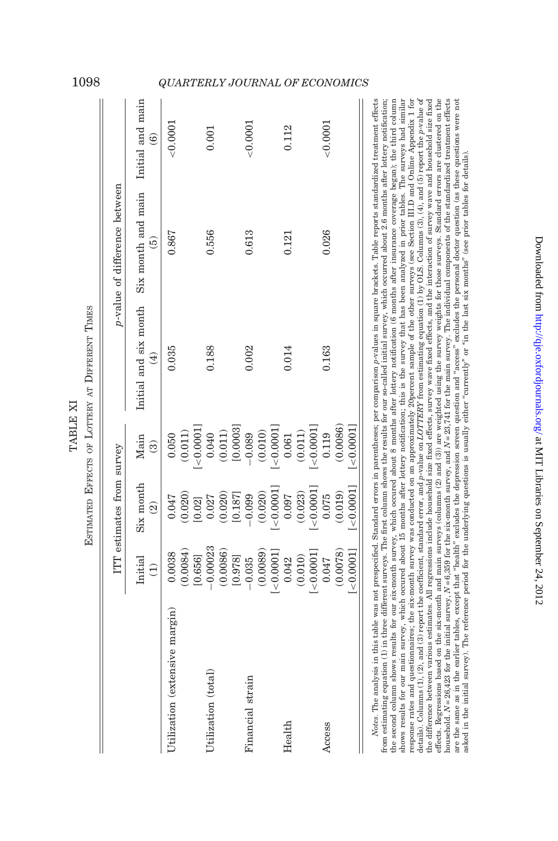|                                |                          | ITT estimates from survey             |                                     |                                      | p-value of difference between                        |                        |
|--------------------------------|--------------------------|---------------------------------------|-------------------------------------|--------------------------------------|------------------------------------------------------|------------------------|
|                                | Initial<br>$\widehat{E}$ | Six month<br>$\widehat{\mathfrak{D}}$ | Main<br>$\widehat{\mathcal{C}}$     | Initial and six month<br>$\bigoplus$ | Six month and main Initial and main<br>$\widehat{5}$ | $\widehat{\mathbf{e}}$ |
| Utilization (extensive margin) | 0.0038                   | 0.047                                 | 0.050                               | 0.035                                | 0.867                                                | $<$ $0.0001$           |
|                                | 0.0084)                  | (0.020)                               | (0.011)                             |                                      |                                                      |                        |
|                                | [0.656]                  | [0.02]                                | 100001                              |                                      |                                                      |                        |
| Utilization (total)            | $-0.00023$               | 0.027                                 | 0.040                               | 0.188                                | 0.556                                                | 0.001                  |
|                                | (0.0086)                 |                                       |                                     |                                      |                                                      |                        |
|                                | [0.978]                  | $(0.020)$<br>[0.187]                  | $(0.011)$<br>$[0.0003]$<br>$-0.089$ |                                      |                                                      |                        |
| Financial strain               | $-0.035$                 | $-0.099$                              |                                     | 0.002                                | 0.613                                                | < 0.0001               |
|                                | (0.0089)                 | (0.020)                               | (0.010)                             |                                      |                                                      |                        |
|                                | < 0.0001                 | < 0.0001                              | 100001                              |                                      |                                                      |                        |
| Health                         | 0.042                    | 0.097                                 | 0.061                               | 0.014                                | 0.121                                                | 0.112                  |
|                                | (0.010)                  | (0.023)                               | (0.011)                             |                                      |                                                      |                        |
|                                | $[-0.0001]$              | < 0.0001                              | < 0.0001                            |                                      |                                                      |                        |
| Access                         | 0.047                    | 0.075                                 | 0.119                               | 0.163                                | 0.026                                                | < 0.0001               |
|                                | (0.0078)                 | (0.019)                               | (0.0086)                            |                                      |                                                      |                        |
|                                | < 0.0001                 | < 0.0001                              | < 0.0001                            |                                      |                                                      |                        |

shows results for our main survey, which occured about 15 months after lottery notification; this is the survey that has been analyzed in prior tables. The surveys had similar response rates and questionnaires; the six-month survey was conducted on an approximately 20percent sample of the other surveys (see Section III.D and Online Appendix 1 for effects. Regressions based on the six-month and main surveys (columns (2) and (3)) are weighted using the survey weights for those surveys. Standard errors are clustered on the from estimating equation (1) in three different surveys. The first column shows the results for our so-called initial survey, which occurred about 2.6 months after lottery notification; the second column shows results for our six-month survey, which occured about 8 months after lottery notification (6 months after insurance coverage began); the third column details). Columns (1), (2), and (3) report the coefficient, standard error, and p-value on LOTTERY from estimating equation (1) by OLS. Columns (3), (4), and (5) report the p-value of details). Columns (1), (2), and (3) report the coefficient, standard error, and p-value on LOTTERY from estimating equation (1) by OLS. Columns (3), (4), and (5) report the p-value of the difference between various estimates. All regressions include household size fixed effects, survey wave fixed effects, and the interaction of survey wave and household size fixed household.  $N = 26,423$  for the initial survey,  $N = 6,359$  for the six-month survey, and  $N = 23,741$  for the main survey. The individual components of the standardized treatment effects are the same as in the earlier tables, except that "health" excludes the depression screen question and "access" excludes the personal doctor question (as these questions were not<br>asked in the initial survey). The referenc Notes. The analysis in this table was not prespecified. Standard errors in parentheses; per comparison p-values in square brackets. Table reports standardized treatment effects from estimating equation (1) in three different surveys. The first column shows the results for our so-called initial survey, which occurred about 2.6 months after lottery notification; the second column shows results for our six-month survey, which occured about 8 months after lottery notification (6 months after insurance coverage began); the third column shows results for our main survey, which occured about 15 months after lottery notification; this is the survey that has been analyzed in prior tables. The surveys had similar response rates and questionnaires; the six-month survey was conducted on an approximately 20percent sample of the other surveys (see [Section](#page-10-0) III.D and Online Appendix 1 for the difference between various estimates. All regressions include household size fixed effects, survey wave fixed effects, and the interaction of survey wave and household size fixed effects. Regressions based on the six-month and main surveys (columns (2) and (3)) are weighted using the survey weights for those surveys. Standard errors are clustered on the household.  $N = 26,423$  for the initial survey,  $N = 6,359$  for the six-month survey, and  $N = 23,741$  for the main survey. The individual components of the standardized treatment effects are the same as in the earlier tables, except that ''health'' excludes the depression screen question and ''access'' excludes the personal doctor question (as these questions were not asked in the initial survey). The reference period for the underlying questions is usually either ''currently'' or ''in the last six months'' (see prior tables for details).

TABLE XI

TABLE XI

## <span id="page-41-0"></span>1098 QUARTERLY JOURNAL OF ECONOMICS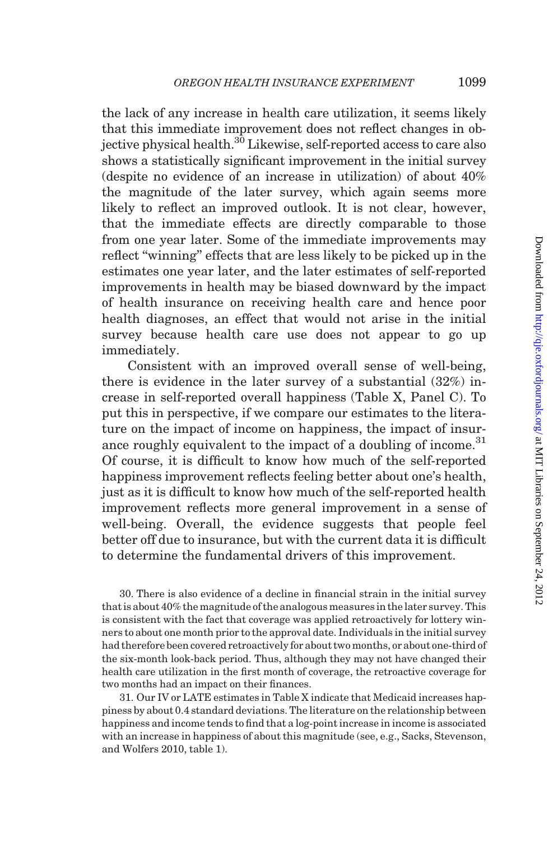the lack of any increase in health care utilization, it seems likely that this immediate improvement does not reflect changes in objective physical health.<sup>30</sup> Likewise, self-reported access to care also shows a statistically significant improvement in the initial survey (despite no evidence of an increase in utilization) of about 40% the magnitude of the later survey, which again seems more likely to reflect an improved outlook. It is not clear, however, that the immediate effects are directly comparable to those from one year later. Some of the immediate improvements may reflect ''winning'' effects that are less likely to be picked up in the estimates one year later, and the later estimates of self-reported improvements in health may be biased downward by the impact of health insurance on receiving health care and hence poor health diagnoses, an effect that would not arise in the initial survey because health care use does not appear to go up immediately.

Consistent with an improved overall sense of well-being, there is evidence in the later survey of a substantial (32%) increase in self-reported overall happiness [\(Table X,](#page-40-0) Panel C). To put this in perspective, if we compare our estimates to the literature on the impact of income on happiness, the impact of insurance roughly equivalent to the impact of a doubling of income.<sup>31</sup> Of course, it is difficult to know how much of the self-reported happiness improvement reflects feeling better about one's health, just as it is difficult to know how much of the self-reported health improvement reflects more general improvement in a sense of well-being. Overall, the evidence suggests that people feel better off due to insurance, but with the current data it is difficult to determine the fundamental drivers of this improvement.

30. There is also evidence of a decline in financial strain in the initial survey that is about 40% the magnitude of the analogous measures in the later survey. This is consistent with the fact that coverage was applied retroactively for lottery winners to about one month prior to the approval date. Individuals in the initial survey had therefore been covered retroactively for about two months, or about one-third of the six-month look-back period. Thus, although they may not have changed their health care utilization in the first month of coverage, the retroactive coverage for two months had an impact on their finances.

31. Our IV or LATE estimates in [Table X](#page-40-0) indicate that Medicaid increases happiness by about 0.4 standard deviations. The literature on the relationship between happiness and income tends to find that a log-point increase in income is associated with an increase in happiness of about this magnitude (see, e.g., [Sacks, Stevenson,](#page-49-0) [and Wolfers 2010](#page-49-0), table 1).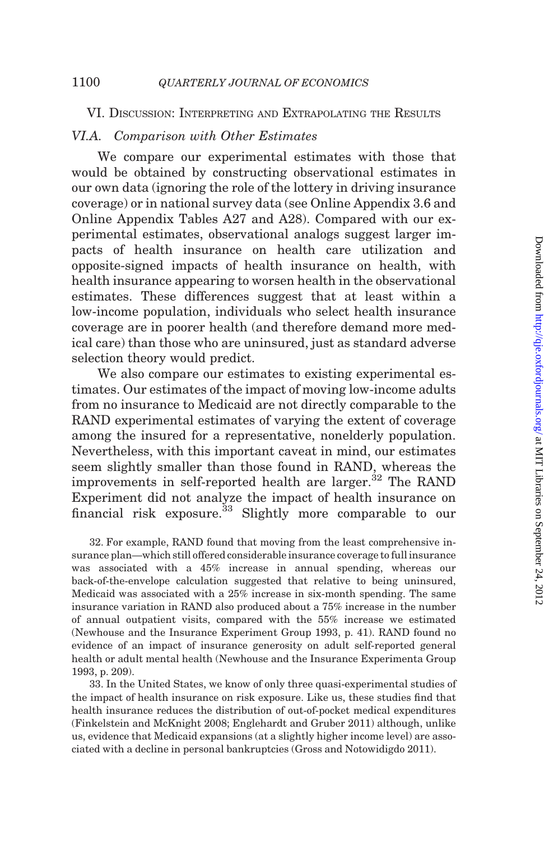## <span id="page-43-0"></span>VI. DISCUSSION: INTERPRETING AND EXTRAPOLATING THE RESULTS

## VI.A. Comparison with Other Estimates

We compare our experimental estimates with those that would be obtained by constructing observational estimates in our own data (ignoring the role of the lottery in driving insurance coverage) or in national survey data (see Online Appendix 3.6 and Online Appendix Tables A27 and A28). Compared with our experimental estimates, observational analogs suggest larger impacts of health insurance on health care utilization and opposite-signed impacts of health insurance on health, with health insurance appearing to worsen health in the observational estimates. These differences suggest that at least within a low-income population, individuals who select health insurance coverage are in poorer health (and therefore demand more medical care) than those who are uninsured, just as standard adverse selection theory would predict.

We also compare our estimates to existing experimental estimates. Our estimates of the impact of moving low-income adults from no insurance to Medicaid are not directly comparable to the RAND experimental estimates of varying the extent of coverage among the insured for a representative, nonelderly population. Nevertheless, with this important caveat in mind, our estimates seem slightly smaller than those found in RAND, whereas the improvements in self-reported health are larger. $32$  The RAND Experiment did not analyze the impact of health insurance on financial risk exposure.<sup>33</sup> Slightly more comparable to our

32. For example, RAND found that moving from the least comprehensive insurance plan—which still offered considerable insurance coverage to full insurance was associated with a 45% increase in annual spending, whereas our back-of-the-envelope calculation suggested that relative to being uninsured, Medicaid was associated with a 25% increase in six-month spending. The same insurance variation in RAND also produced about a 75% increase in the number of annual outpatient visits, compared with the 55% increase we estimated [\(Newhouse and the Insurance Experiment Group 1993,](#page-49-0) p. 41). RAND found no evidence of an impact of insurance generosity on adult self-reported general health or adult mental health [\(Newhouse and the Insurance Experimenta Group](#page-49-0) [1993,](#page-49-0) p. 209).

33. In the United States, we know of only three quasi-experimental studies of the impact of health insurance on risk exposure. Like us, these studies find that health insurance reduces the distribution of out-of-pocket medical expenditures [\(Finkelstein and McKnight 2008](#page-48-0); [Englehardt and Gruber 2011](#page-48-0)) although, unlike us, evidence that Medicaid expansions (at a slightly higher income level) are associated with a decline in personal bankruptcies ([Gross and Notowidigdo 2011](#page-48-0)).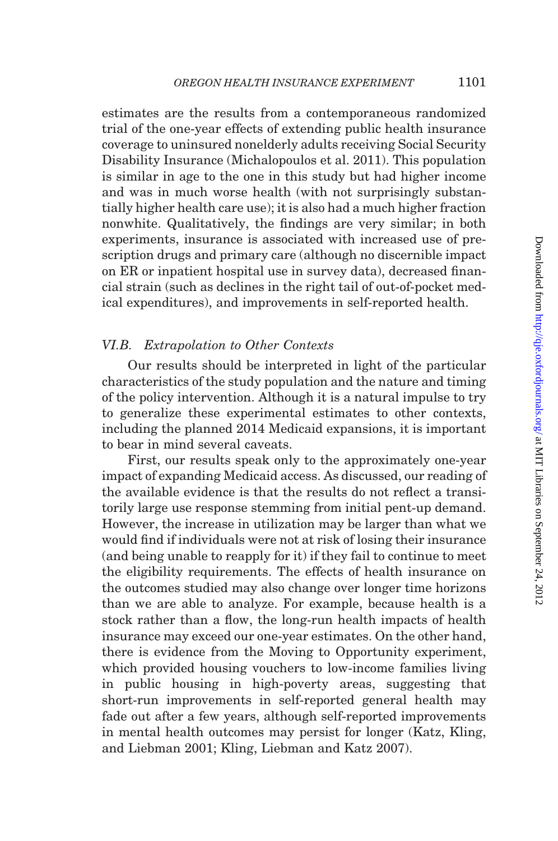estimates are the results from a contemporaneous randomized trial of the one-year effects of extending public health insurance coverage to uninsured nonelderly adults receiving Social Security Disability Insurance ([Michalopoulos et al. 2011\)](#page-49-0). This population is similar in age to the one in this study but had higher income and was in much worse health (with not surprisingly substantially higher health care use); it is also had a much higher fraction nonwhite. Qualitatively, the findings are very similar; in both experiments, insurance is associated with increased use of prescription drugs and primary care (although no discernible impact on ER or inpatient hospital use in survey data), decreased financial strain (such as declines in the right tail of out-of-pocket medical expenditures), and improvements in self-reported health.

## VI.B. Extrapolation to Other Contexts

Our results should be interpreted in light of the particular characteristics of the study population and the nature and timing of the policy intervention. Although it is a natural impulse to try to generalize these experimental estimates to other contexts, including the planned 2014 Medicaid expansions, it is important to bear in mind several caveats.

First, our results speak only to the approximately one-year impact of expanding Medicaid access. As discussed, our reading of the available evidence is that the results do not reflect a transitorily large use response stemming from initial pent-up demand. However, the increase in utilization may be larger than what we would find if individuals were not at risk of losing their insurance (and being unable to reapply for it) if they fail to continue to meet the eligibility requirements. The effects of health insurance on the outcomes studied may also change over longer time horizons than we are able to analyze. For example, because health is a stock rather than a flow, the long-run health impacts of health insurance may exceed our one-year estimates. On the other hand, there is evidence from the Moving to Opportunity experiment, which provided housing vouchers to low-income families living in public housing in high-poverty areas, suggesting that short-run improvements in self-reported general health may fade out after a few years, although self-reported improvements in mental health outcomes may persist for longer ([Katz, Kling,](#page-48-0) [and Liebman 2001; Kling, Liebman and Katz 2007\)](#page-48-0).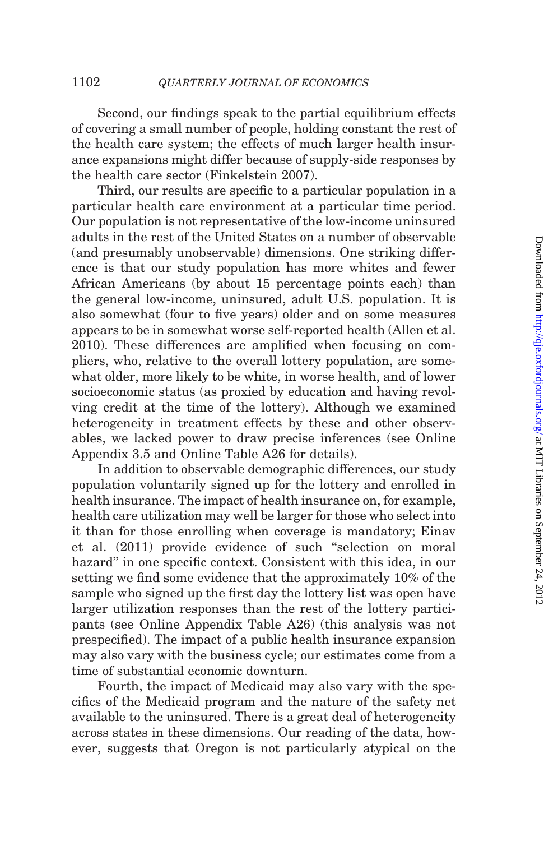Second, our findings speak to the partial equilibrium effects of covering a small number of people, holding constant the rest of the health care system; the effects of much larger health insurance expansions might differ because of supply-side responses by the health care sector ([Finkelstein 2007](#page-48-0)).

Third, our results are specific to a particular population in a particular health care environment at a particular time period. Our population is not representative of the low-income uninsured adults in the rest of the United States on a number of observable (and presumably unobservable) dimensions. One striking difference is that our study population has more whites and fewer African Americans (by about 15 percentage points each) than the general low-income, uninsured, adult U.S. population. It is also somewhat (four to five years) older and on some measures appears to be in somewhat worse self-reported health [\(Allen et al.](#page-47-0) [2010](#page-47-0)). These differences are amplified when focusing on compliers, who, relative to the overall lottery population, are somewhat older, more likely to be white, in worse health, and of lower socioeconomic status (as proxied by education and having revolving credit at the time of the lottery). Although we examined heterogeneity in treatment effects by these and other observables, we lacked power to draw precise inferences (see Online Appendix 3.5 and Online Table A26 for details).

In addition to observable demographic differences, our study population voluntarily signed up for the lottery and enrolled in health insurance. The impact of health insurance on, for example, health care utilization may well be larger for those who select into it than for those enrolling when coverage is mandatory; [Einav](#page-48-0) [et al. \(2011\)](#page-48-0) provide evidence of such ''selection on moral hazard'' in one specific context. Consistent with this idea, in our setting we find some evidence that the approximately 10% of the sample who signed up the first day the lottery list was open have larger utilization responses than the rest of the lottery participants (see Online Appendix Table A26) (this analysis was not prespecified). The impact of a public health insurance expansion may also vary with the business cycle; our estimates come from a time of substantial economic downturn.

Fourth, the impact of Medicaid may also vary with the specifics of the Medicaid program and the nature of the safety net available to the uninsured. There is a great deal of heterogeneity across states in these dimensions. Our reading of the data, however, suggests that Oregon is not particularly atypical on the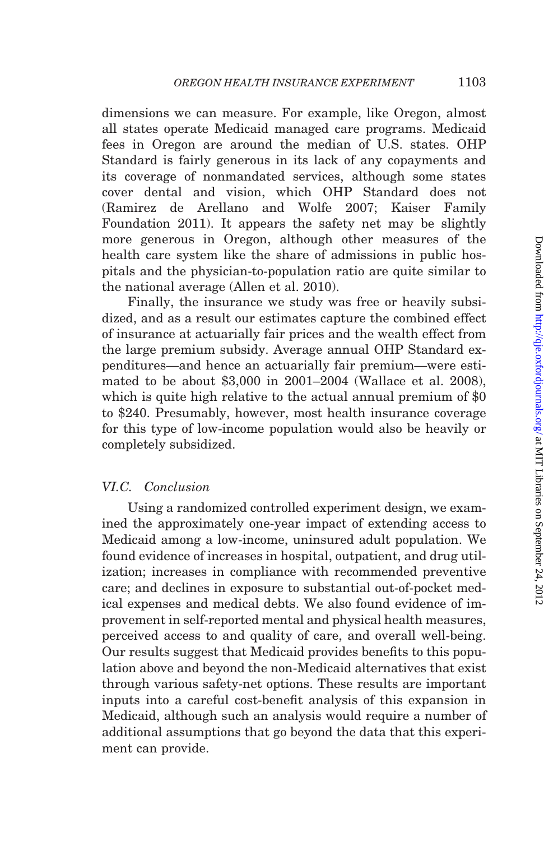dimensions we can measure. For example, like Oregon, almost all states operate Medicaid managed care programs. Medicaid fees in Oregon are around the median of U.S. states. OHP Standard is fairly generous in its lack of any copayments and its coverage of nonmandated services, although some states cover dental and vision, which OHP Standard does not [\(Ramirez de Arellano and Wolfe 2007;](#page-49-0) [Kaiser Family](#page-48-0) [Foundation 2011](#page-48-0)). It appears the safety net may be slightly more generous in Oregon, although other measures of the health care system like the share of admissions in public hospitals and the physician-to-population ratio are quite similar to the national average [\(Allen et al. 2010](#page-47-0)).

Finally, the insurance we study was free or heavily subsidized, and as a result our estimates capture the combined effect of insurance at actuarially fair prices and the wealth effect from the large premium subsidy. Average annual OHP Standard expenditures—and hence an actuarially fair premium—were estimated to be about \$3,000 in 2001–2004 [\(Wallace et al. 2008](#page-49-0)), which is quite high relative to the actual annual premium of \$0 to \$240. Presumably, however, most health insurance coverage for this type of low-income population would also be heavily or completely subsidized.

## VI.C. Conclusion

Using a randomized controlled experiment design, we examined the approximately one-year impact of extending access to Medicaid among a low-income, uninsured adult population. We found evidence of increases in hospital, outpatient, and drug utilization; increases in compliance with recommended preventive care; and declines in exposure to substantial out-of-pocket medical expenses and medical debts. We also found evidence of improvement in self-reported mental and physical health measures, perceived access to and quality of care, and overall well-being. Our results suggest that Medicaid provides benefits to this population above and beyond the non-Medicaid alternatives that exist through various safety-net options. These results are important inputs into a careful cost-benefit analysis of this expansion in Medicaid, although such an analysis would require a number of additional assumptions that go beyond the data that this experiment can provide.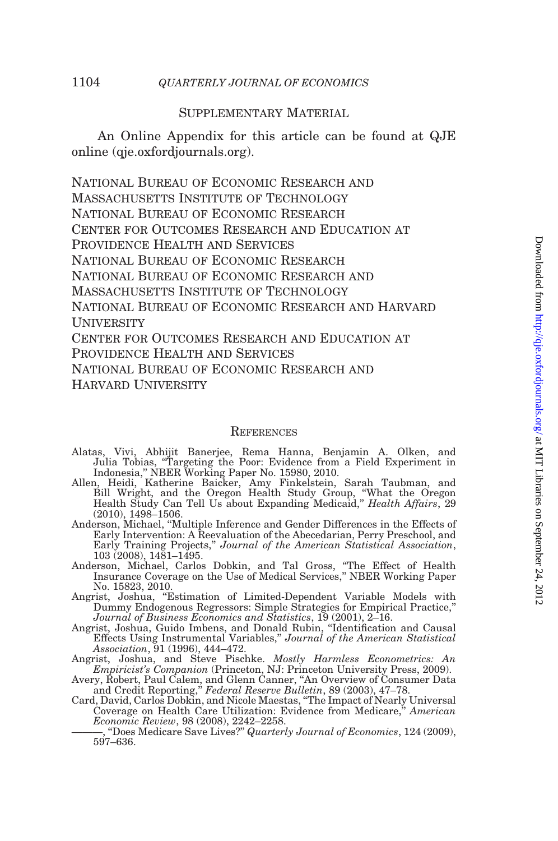## Supplementary Material

An Online Appendix for this article can be found at QJE online (qje.oxfordjournals.org).

National Bureau of Economic Research and Massachusetts Institute of Technology National Bureau of Economic Research Center for Outcomes Research and Education at Providence Health and Services NATIONAL BUREAU OF ECONOMIC RESEARCH National Bureau of Economic Research and MASSACHUSETTS INSTITUTE OF TECHNOLOGY National Bureau of Economic Research and Harvard **UNIVERSITY** CENTER FOR OUTCOMES RESEARCH AND EDUCATION AT PROVIDENCE HEALTH AND SERVICES National Bureau of Economic Research and Harvard University

#### **REFERENCES**

- Alatas, Vivi, Abhijit Banerjee, Rema Hanna, Benjamin A. Olken, and Julia Tobias, ''Targeting the Poor: Evidence from a Field Experiment in Indonesia,'' NBER Working Paper No. 15980, 2010.
- Allen, Heidi, Katherine Baicker, Amy Finkelstein, Sarah Taubman, and Bill Wright, and the Oregon Health Study Group, ''What the Oregon Health Study Can Tell Us about Expanding Medicaid," *Health Affairs*, 29 (2010), 1498–1506.
- Anderson, Michael, ''Multiple Inference and Gender Differences in the Effects of Early Intervention: A Reevaluation of the Abecedarian, Perry Preschool, and Early Training Projects," Journal of the American Statistical Association,
- 103 (2008), 1481–1495. Anderson, Michael, Carlos Dobkin, and Tal Gross, ''The Effect of Health Insurance Coverage on the Use of Medical Services,'' NBER Working Paper No. 15823, 2010.
- Angrist, Joshua, ''Estimation of Limited-Dependent Variable Models with Dummy Endogenous Regressors: Simple Strategies for Empirical Practice,''
- Journal of Business Economics and Statistics, 19 (2001), 2–16. Angrist, Joshua, Guido Imbens, and Donald Rubin, ''Identification and Causal Effects Using Instrumental Variables,'' Journal of the American Statistical
- Association, 91 (1996), 444–472. Angrist, Joshua, and Steve Pischke. Mostly Harmless Econometrics: An Empiricist's Companion (Princeton, NJ: Princeton University Press, 2009).
- 
- Avery, Robert, Paul Calem, and Glenn Canner, "An Overview of Consumer Data<br>and Credit Reporting," *Federal Reserve Bulletin*, 89 (2003), 47–78.<br>Card, David, Carlos Dobkin, and Nicole Maestas, "The Impact of Nearly Universa Economic Review, 98 (2008), 2242–2258.
	- ———, ''Does Medicare Save Lives?'' Quarterly Journal of Economics, 124 (2009), 597–636.

<span id="page-47-0"></span>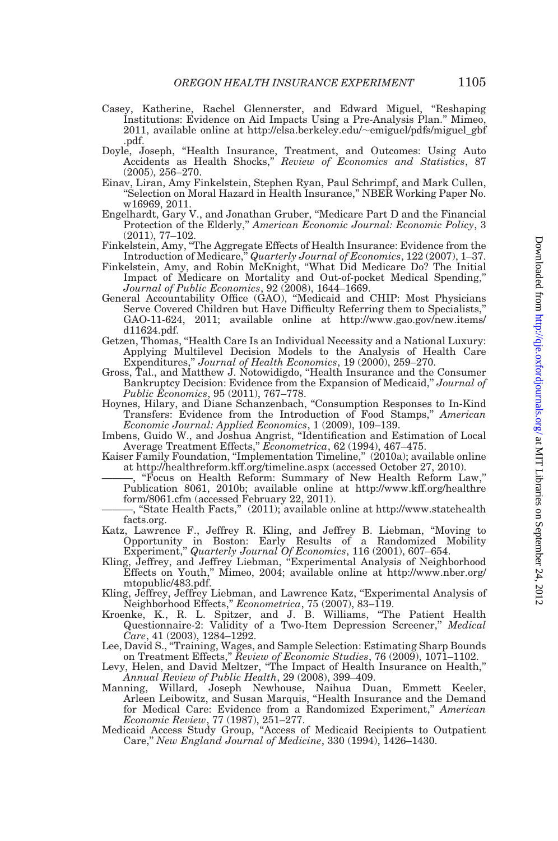- <span id="page-48-0"></span>Casey, Katherine, Rachel Glennerster, and Edward Miguel, ''Reshaping Institutions: Evidence on Aid Impacts Using a Pre-Analysis Plan.'' Mimeo, 2011, available online at http://elsa.berkeley.edu/~emiguel/pdfs/miguel\_gbf .pdf.
- Doyle, Joseph, ''Health Insurance, Treatment, and Outcomes: Using Auto Accidents as Health Shocks,'' Review of Economics and Statistics, 87 (2005), 256–270.
- Einav, Liran, Amy Finkelstein, Stephen Ryan, Paul Schrimpf, and Mark Cullen, ''Selection on Moral Hazard in Health Insurance,'' NBER Working Paper No. w16969, 2011.
- Engelhardt, Gary V., and Jonathan Gruber, ''Medicare Part D and the Financial Protection of the Elderly," American Economic Journal: Economic Policy, 3 (2011), 77–102.
- Finkelstein, Amy, ''The Aggregate Effects of Health Insurance: Evidence from the
- Introduction of Medicare,'' Quarterly Journal of Economics, 122 (2007), 1–37. Finkelstein, Amy, and Robin McKnight, ''What Did Medicare Do? The Initial Impact of Medicare on Mortality and Out-of-pocket Medical Spending,'' Journal of Public Economics, 92 (2008), 1644–1669.
- General Accountability Office (GAO), ''Medicaid and CHIP: Most Physicians Serve Covered Children but Have Difficulty Referring them to Specialists,'' GAO-11-624, 2011; available online at http://www.gao.gov/new.items/ d11624.pdf.
- Getzen, Thomas, "Health Care Is an Individual Necessity and a National Luxury: Applying Multilevel Decision Models to the Analysis of Health Care Expenditures,'' Journal of Health Economics, 19 (2000), 259–270.
- Gross, Tal., and Matthew J. Notowidigdo, ''Health Insurance and the Consumer Bankruptcy Decision: Evidence from the Expansion of Medicaid,'' Journal of Public Economics, 95 (2011), 767–778.
- Hoynes, Hilary, and Diane Schanzenbach, ''Consumption Responses to In-Kind Transfers: Evidence from the Introduction of Food Stamps,'' American Economic Journal: Applied Economics, 1 (2009), 109–139.
- Imbens, Guido W., and Joshua Angrist, ''Identification and Estimation of Local Average Treatment Effects," *Econometrica*, 62 (1994), 467–475.
- Kaiser Family Foundation, "Implementation Timeline," (2010a); available online at http://healthreform.kff.org/timeline.aspx (accessed October 27, 2010).
	- ———, ''Focus on Health Reform: Summary of New Health Reform Law,'' Publication 8061, 2010b; available online at http://www.kff.org/healthre form/8061.cfm (accessed February 22, 2011).
	- ———, ''State Health Facts,'' (2011); available online at http://www.statehealth facts.org.
- Katz, Lawrence F., Jeffrey R. Kling, and Jeffrey B. Liebman, ''Moving to Opportunity in Boston: Early Results of a Randomized Mobility Experiment,'' Quarterly Journal Of Economics, 116 (2001), 607–654.
- Kling, Jeffrey, and Jeffrey Liebman, "Experimental Analysis of Neighborhood Effects on Youth,'' Mimeo, 2004; available online at http://www.nber.org/ mtopublic/483.pdf.
- Kling, Jeffrey, Jeffrey Liebman, and Lawrence Katz, ''Experimental Analysis of
- Neighborhood Effects,'' Econometrica, 75 (2007), 83–119. Kroenke, K., R. L. Spitzer, and J. B. Williams, ''The Patient Health Questionnaire-2: Validity of a Two-Item Depression Screener," Medical  $Care$ , 41 (2003), 1284–1292.
- Lee, David S., ''Training, Wages, and Sample Selection: Estimating Sharp Bounds on Treatment Effects," Review of Economic Studies, 76 (2009), 1071–1102.<br>"Levy, Helen, and David Meltzer, "The Impact of Health Insurance on Health,
- Annual Review of Public Health, 29 (2008), 399–409.
- Manning, Willard, Joseph Newhouse, Naihua Duan, Emmett Keeler, Arleen Leibowitz, and Susan Marquis, ''Health Insurance and the Demand for Medical Care: Evidence from a Randomized Experiment,'' American Economic Review, 77 (1987), 251–277.
- Medicaid Access Study Group, ''Access of Medicaid Recipients to Outpatient Care,'' New England Journal of Medicine, 330 (1994), 1426–1430.